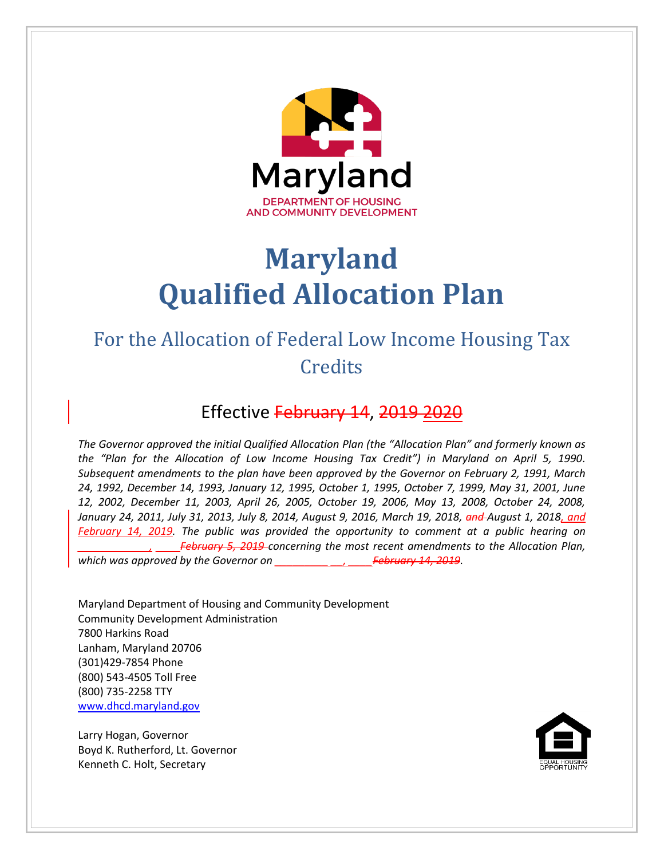

# **Maryland Qualified Allocation Plan**

# For the Allocation of Federal Low Income Housing Tax **Credits**

# Effective February 14, 2019 2020

*The Governor approved the initial Qualified Allocation Plan (the "Allocation Plan" and formerly known as the "Plan for the Allocation of Low Income Housing Tax Credit") in Maryland on April 5, 1990. Subsequent amendments to the plan have been approved by the Governor on February 2, 1991, March 24, 1992, December 14, 1993, January 12, 1995, October 1, 1995, October 7, 1999, May 31, 2001, June 12, 2002, December 11, 2003, April 26, 2005, October 19, 2006, May 13, 2008, October 24, 2008, January 24, 2011, July 31, 2013, July 8, 2014, August 9, 2016, March 19, 2018, and August 1, 2018, and February 14, 2019. The public was provided the opportunity to comment at a public hearing on February 5, 2019 concerning the most recent amendments to the Allocation Plan, which was approved by the Governor on \_\_\_\_\_\_\_\_\_ \_\_, \_\_\_\_February 14, 2019.*

Maryland Department of Housing and Community Development Community Development Administration 7800 Harkins Road Lanham, Maryland 20706 (301)429-7854 Phone (800) 543-4505 Toll Free (800) 735-2258 TTY [www.dhcd.maryland.gov](http://www.mdhousing.org/)

Larry Hogan, Governor Boyd K. Rutherford, Lt. Governor Kenneth C. Holt, Secretary

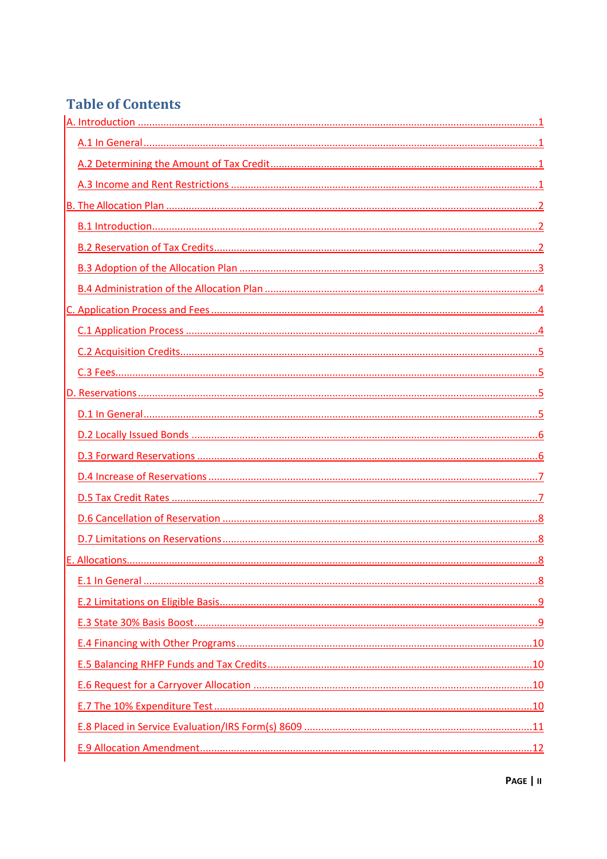# **Table of Contents**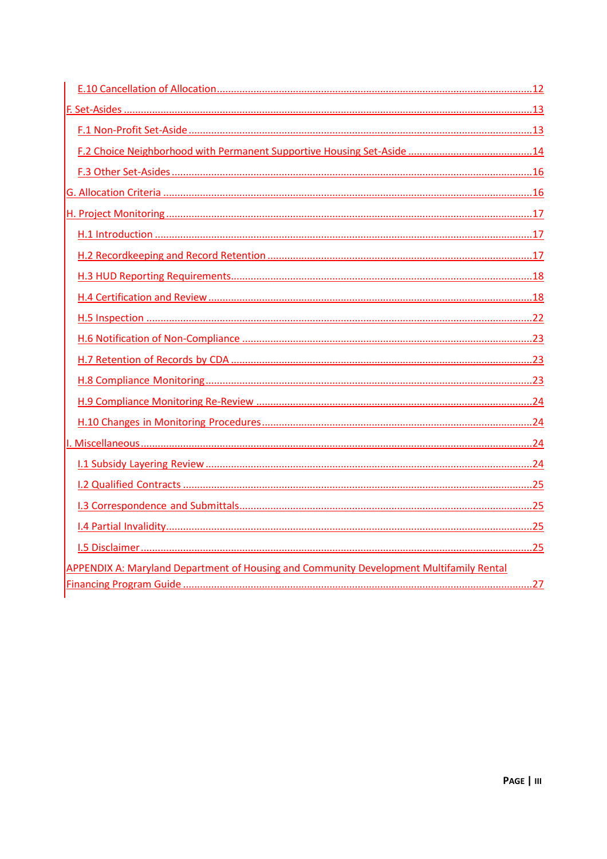| APPENDIX A: Maryland Department of Housing and Community Development Multifamily Rental |  |
|-----------------------------------------------------------------------------------------|--|
|                                                                                         |  |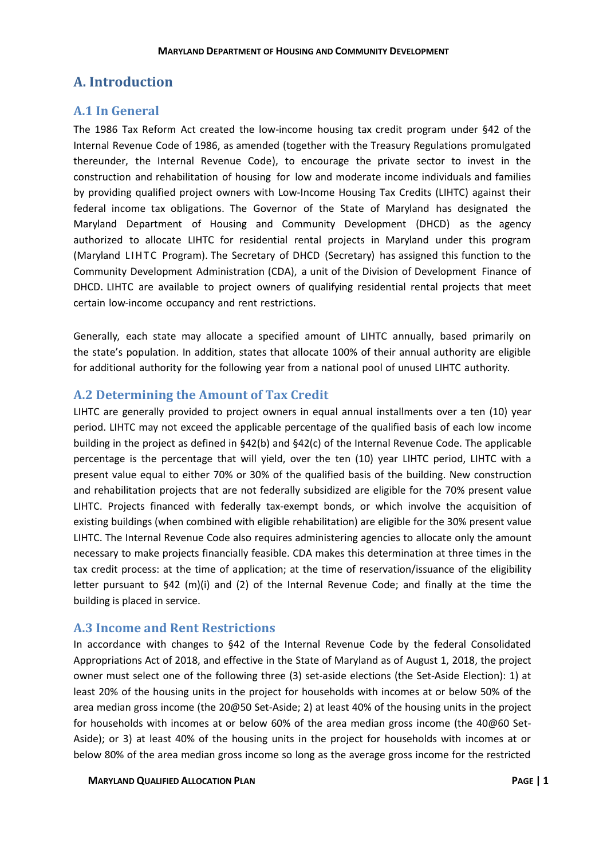# <span id="page-3-0"></span>**A. Introduction**

# <span id="page-3-1"></span>**A.1 In General**

The 1986 Tax Reform Act created the low-income housing tax credit program under §42 of the Internal Revenue Code of 1986, as amended (together with the Treasury Regulations promulgated thereunder, the Internal Revenue Code), to encourage the private sector to invest in the construction and rehabilitation of housing for low and moderate income individuals and families by providing qualified project owners with Low-Income Housing Tax Credits (LIHTC) against their federal income tax obligations. The Governor of the State of Maryland has designated the Maryland Department of Housing and Community Development (DHCD) as the agency authorized to allocate LIHTC for residential rental projects in Maryland under this program (Maryland LIHTC Program). The Secretary of DHCD (Secretary) has assigned this function to the Community Development Administration (CDA), a unit of the Division of Development Finance of DHCD. LIHTC are available to project owners of qualifying residential rental projects that meet certain low-income occupancy and rent restrictions.

Generally, each state may allocate a specified amount of LIHTC annually, based primarily on the state's population. In addition, states that allocate 100% of their annual authority are eligible for additional authority for the following year from a national pool of unused LIHTC authority.

# <span id="page-3-2"></span>**A.2 Determining the Amount of Tax Credit**

LIHTC are generally provided to project owners in equal annual installments over a ten (10) year period. LIHTC may not exceed the applicable percentage of the qualified basis of each low income building in the project as defined in §42(b) and §42(c) of the Internal Revenue Code. The applicable percentage is the percentage that will yield, over the ten (10) year LIHTC period, LIHTC with a present value equal to either 70% or 30% of the qualified basis of the building. New construction and rehabilitation projects that are not federally subsidized are eligible for the 70% present value LIHTC. Projects financed with federally tax-exempt bonds, or which involve the acquisition of existing buildings (when combined with eligible rehabilitation) are eligible for the 30% present value LIHTC. The Internal Revenue Code also requires administering agencies to allocate only the amount necessary to make projects financially feasible. CDA makes this determination at three times in the tax credit process: at the time of application; at the time of reservation/issuance of the eligibility letter pursuant to §42 (m)(i) and (2) of the Internal Revenue Code; and finally at the time the building is placed in service.

# <span id="page-3-3"></span>**A.3 Income and Rent Restrictions**

In accordance with changes to §42 of the Internal Revenue Code by the federal Consolidated Appropriations Act of 2018, and effective in the State of Maryland as of August 1, 2018, the project owner must select one of the following three (3) set-aside elections (the Set-Aside Election): 1) at least 20% of the housing units in the project for households with incomes at or below 50% of the area median gross income (the 20@50 Set-Aside; 2) at least 40% of the housing units in the project for households with incomes at or below 60% of the area median gross income (the 40@60 Set-Aside); or 3) at least 40% of the housing units in the project for households with incomes at or below 80% of the area median gross income so long as the average gross income for the restricted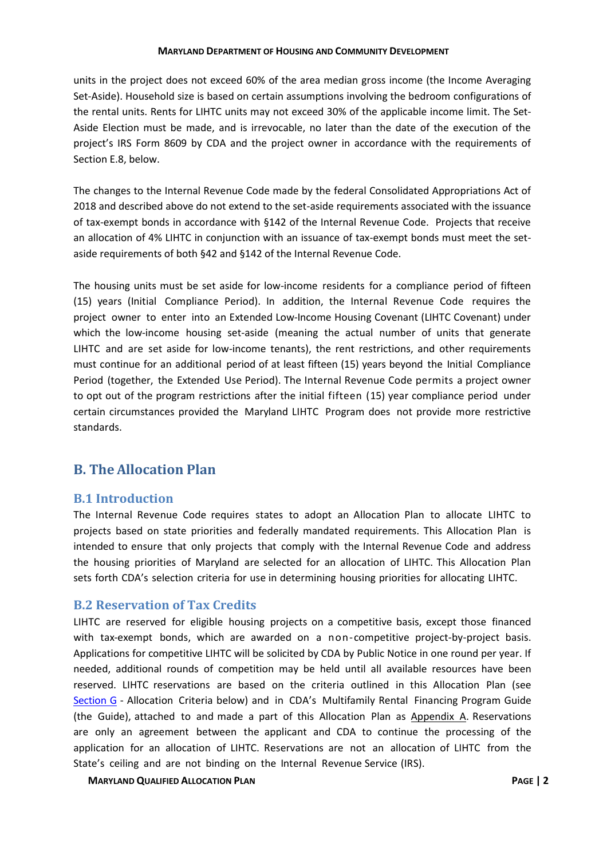units in the project does not exceed 60% of the area median gross income (the Income Averaging Set-Aside). Household size is based on certain assumptions involving the bedroom configurations of the rental units. Rents for LIHTC units may not exceed 30% of the applicable income limit. The Set-Aside Election must be made, and is irrevocable, no later than the date of the execution of the project's IRS Form 8609 by CDA and the project owner in accordance with the requirements of Section E.8, below.

The changes to the Internal Revenue Code made by the federal Consolidated Appropriations Act of 2018 and described above do not extend to the set-aside requirements associated with the issuance of tax-exempt bonds in accordance with §142 of the Internal Revenue Code. Projects that receive an allocation of 4% LIHTC in conjunction with an issuance of tax-exempt bonds must meet the setaside requirements of both §42 and §142 of the Internal Revenue Code.

The housing units must be set aside for low-income residents for a compliance period of fifteen (15) years (Initial Compliance Period). In addition, the Internal Revenue Code requires the project owner to enter into an Extended Low-Income Housing Covenant (LIHTC Covenant) under which the low-income housing set-aside (meaning the actual number of units that generate LIHTC and are set aside for low-income tenants), the rent restrictions, and other requirements must continue for an additional period of at least fifteen (15) years beyond the Initial Compliance Period (together, the Extended Use Period). The Internal Revenue Code permits a project owner to opt out of the program restrictions after the initial fifteen (15) year compliance period under certain circumstances provided the Maryland LIHTC Program does not provide more restrictive standards.

# <span id="page-4-0"></span>**B. The Allocation Plan**

# <span id="page-4-1"></span>**B.1 Introduction**

The Internal Revenue Code requires states to adopt an Allocation Plan to allocate LIHTC to projects based on state priorities and federally mandated requirements. This Allocation Plan is intended to ensure that only projects that comply with the Internal Revenue Code and address the housing priorities of Maryland are selected for an allocation of LIHTC. This Allocation Plan sets forth CDA's selection criteria for use in determining housing priorities for allocating LIHTC.

### <span id="page-4-2"></span>**B.2 Reservation of Tax Credits**

LIHTC are reserved for eligible housing projects on a competitive basis, except those financed with tax-exempt bonds, which are awarded on a non-competitive project-by-project basis. Applications for competitive LIHTC will be solicited by CDA by Public Notice in one round per year. If needed, additional rounds of competition may be held until all available resources have been reserved. LIHTC reservations are based on the criteria outlined in this Allocation Plan (see [Section G](#page-18-1) - Allocation Criteria below) and in CDA's Multifamily Rental Financing Program Guide (the Guide), attached to and made a part of this Allocation Plan as Appendix A. Reservations are only an agreement between the applicant and CDA to continue the processing of the application for an allocation of LIHTC. Reservations are not an allocation of LIHTC from the State's ceiling and are not binding on the Internal Revenue Service (IRS).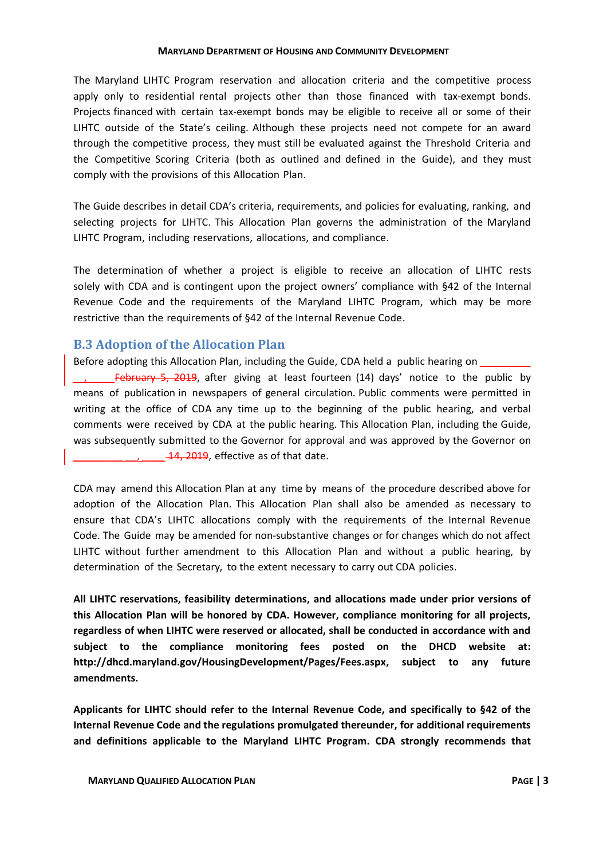The Maryland LIHTC Program reservation and allocation criteria and the competitive process apply only to residential rental projects other than those financed with tax-exempt bonds. Projects financed with certain tax-exempt bonds may be eligible to receive all or some of their LIHTC outside of the State's ceiling. Although these projects need not compete for an award through the competitive process, they must still be evaluated against the Threshold Criteria and the Competitive Scoring Criteria (both as outlined and defined in the Guide), and they must comply with the provisions of this Allocation Plan.

The Guide describes in detail CDA's criteria, requirements, and policies for evaluating, ranking, and selecting projects for LIHTC. This Allocation Plan governs the administration of the Maryland LIHTC Program, including reservations, allocations, and compliance.

The determination of whether a project is eligible to receive an allocation of LIHTC rests solely with CDA and is contingent upon the project owners' compliance with §42 of the Internal Revenue Code and the requirements of the Maryland LIHTC Program, which may be more restrictive than the requirements of §42 of the Internal Revenue Code.

# <span id="page-5-0"></span>**B.3 Adoption of the Allocation Plan**

Before adopting this Allocation Plan, including the Guide, CDA held a public hearing on *February 5, 2019*, after giving at least fourteen (14) days' notice to the public by means of publication in newspapers of general circulation. Public comments were permitted in writing at the office of CDA any time up to the beginning of the public hearing, and verbal comments were received by CDA at the public hearing. This Allocation Plan, including the Guide, was subsequently submitted to the Governor for approval and was approved by the Governor on **14, 2019**, effective as of that date.

CDA may amend this Allocation Plan at any time by means of the procedure described above for adoption of the Allocation Plan. This Allocation Plan shall also be amended as necessary to ensure that CDA's LIHTC allocations comply with the requirements of the Internal Revenue Code. The Guide may be amended for non-substantive changes or for changes which do not affect LIHTC without further amendment to this Allocation Plan and without a public hearing, by determination of the Secretary, to the extent necessary to carry out CDA policies.

**All LIHTC reservations, feasibility determinations, and allocations made under prior versions of this Allocation Plan will be honored by CDA. However, compliance monitoring for all projects, regardless of when LIHTC were reserved or allocated, shall be conducted in accordance with and subject to the compliance monitoring fees posted on the DHCD website at: http://dhcd.maryland.gov/HousingDevelopment/Pages/Fees.aspx, subject to any future amendments.**

**Applicants for LIHTC should refer to the Internal Revenue Code, and specifically to §42 of the Internal Revenue Code and the regulations promulgated thereunder, for additional requirements and definitions applicable to the Maryland LIHTC Program. CDA strongly recommends that**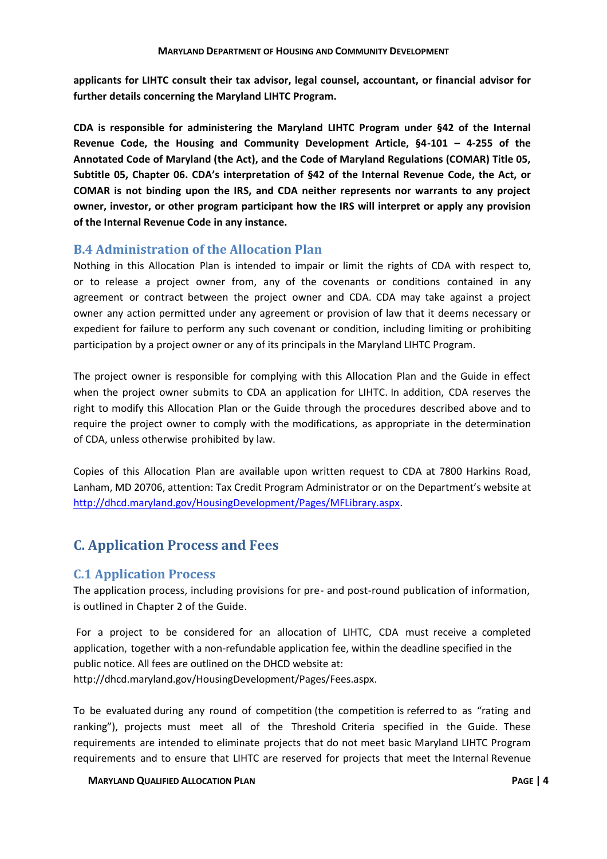**applicants for LIHTC consult their tax advisor, legal counsel, accountant, or financial advisor for further details concerning the Maryland LIHTC Program.**

**CDA is responsible for administering the Maryland LIHTC Program under §42 of the Internal Revenue Code, the Housing and Community Development Article, §4-101 – 4-255 of the Annotated Code of Maryland (the Act), and the Code of Maryland Regulations (COMAR) Title 05, Subtitle 05, Chapter 06. CDA's interpretation of §42 of the Internal Revenue Code, the Act, or COMAR is not binding upon the IRS, and CDA neither represents nor warrants to any project owner, investor, or other program participant how the IRS will interpret or apply any provision of the Internal Revenue Code in any instance.**

# <span id="page-6-0"></span>**B.4 Administration of the Allocation Plan**

Nothing in this Allocation Plan is intended to impair or limit the rights of CDA with respect to, or to release a project owner from, any of the covenants or conditions contained in any agreement or contract between the project owner and CDA. CDA may take against a project owner any action permitted under any agreement or provision of law that it deems necessary or expedient for failure to perform any such covenant or condition, including limiting or prohibiting participation by a project owner or any of its principals in the Maryland LIHTC Program.

The project owner is responsible for complying with this Allocation Plan and the Guide in effect when the project owner submits to CDA an application for LIHTC. In addition, CDA reserves the right to modify this Allocation Plan or the Guide through the procedures described above and to require the project owner to comply with the modifications, as appropriate in the determination of CDA, unless otherwise prohibited by law.

Copies of this Allocation Plan are available upon written request to CDA at 7800 Harkins Road, Lanham, MD 20706, attention: Tax Credit Program Administrator or on the Department's website at [http://dhcd.maryland.gov/HousingDevelopment/Pages/MFLibrary.aspx.](http://dhcd.maryland.gov/HousingDevelopment/Pages/MFLibrary.aspx)

# <span id="page-6-1"></span>**C. Application Process and Fees**

# <span id="page-6-2"></span>**C.1 Application Process**

The application process, including provisions for pre- and post-round publication of information, is outlined in Chapter 2 of the Guide.

For a project to be considered for an allocation of LIHTC, CDA must receive a completed application, together with a non-refundable application fee, within the deadline specified in the public notice. All fees are outlined on the DHCD website at: http://dhcd.maryland.gov/HousingDevelopment/Pages/Fees.aspx.

To be evaluated during any round of competition (the competition is referred to as "rating and ranking"), projects must meet all of the Threshold Criteria specified in the Guide. These requirements are intended to eliminate projects that do not meet basic Maryland LIHTC Program requirements and to ensure that LIHTC are reserved for projects that meet the Internal Revenue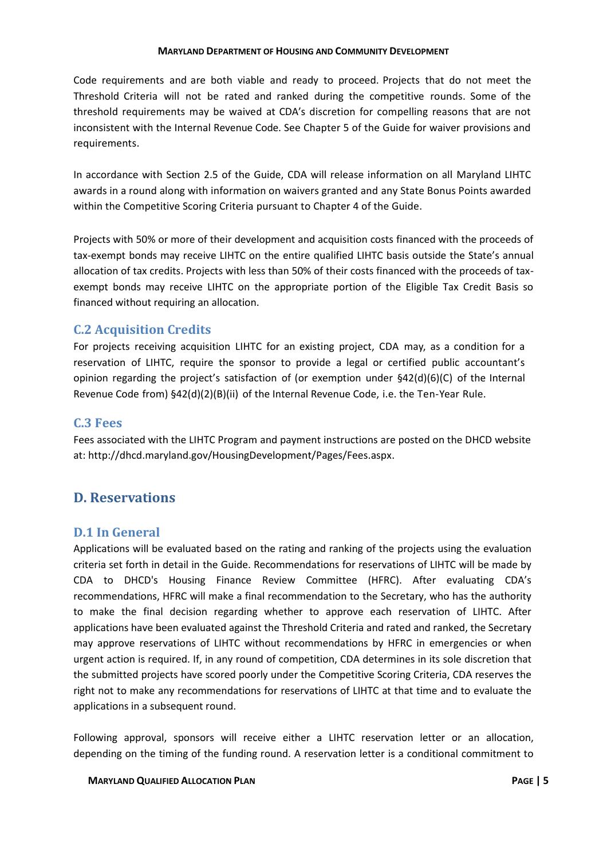Code requirements and are both viable and ready to proceed. Projects that do not meet the Threshold Criteria will not be rated and ranked during the competitive rounds. Some of the threshold requirements may be waived at CDA's discretion for compelling reasons that are not inconsistent with the Internal Revenue Code. See Chapter 5 of the Guide for waiver provisions and requirements.

In accordance with Section 2.5 of the Guide, CDA will release information on all Maryland LIHTC awards in a round along with information on waivers granted and any State Bonus Points awarded within the Competitive Scoring Criteria pursuant to Chapter 4 of the Guide.

Projects with 50% or more of their development and acquisition costs financed with the proceeds of tax-exempt bonds may receive LIHTC on the entire qualified LIHTC basis outside the State's annual allocation of tax credits. Projects with less than 50% of their costs financed with the proceeds of taxexempt bonds may receive LIHTC on the appropriate portion of the Eligible Tax Credit Basis so financed without requiring an allocation.

# <span id="page-7-0"></span>**C.2 Acquisition Credits**

For projects receiving acquisition LIHTC for an existing project, CDA may, as a condition for a reservation of LIHTC, require the sponsor to provide a legal or certified public accountant's opinion regarding the project's satisfaction of (or exemption under §42(d)(6)(C) of the Internal Revenue Code from) §42(d)(2)(B)(ii) of the Internal Revenue Code, i.e. the Ten-Year Rule.

# <span id="page-7-1"></span>**C.3 Fees**

Fees associated with the LIHTC Program and payment instructions are posted on the DHCD website at: http://dhcd.maryland.gov/HousingDevelopment/Pages/Fees.aspx.

# <span id="page-7-2"></span>**D. Reservations**

# <span id="page-7-3"></span>**D.1 In General**

Applications will be evaluated based on the rating and ranking of the projects using the evaluation criteria set forth in detail in the Guide. Recommendations for reservations of LIHTC will be made by CDA to DHCD's Housing Finance Review Committee (HFRC). After evaluating CDA's recommendations, HFRC will make a final recommendation to the Secretary, who has the authority to make the final decision regarding whether to approve each reservation of LIHTC. After applications have been evaluated against the Threshold Criteria and rated and ranked, the Secretary may approve reservations of LIHTC without recommendations by HFRC in emergencies or when urgent action is required. If, in any round of competition, CDA determines in its sole discretion that the submitted projects have scored poorly under the Competitive Scoring Criteria, CDA reserves the right not to make any recommendations for reservations of LIHTC at that time and to evaluate the applications in a subsequent round.

Following approval, sponsors will receive either a LIHTC reservation letter or an allocation, depending on the timing of the funding round. A reservation letter is a conditional commitment to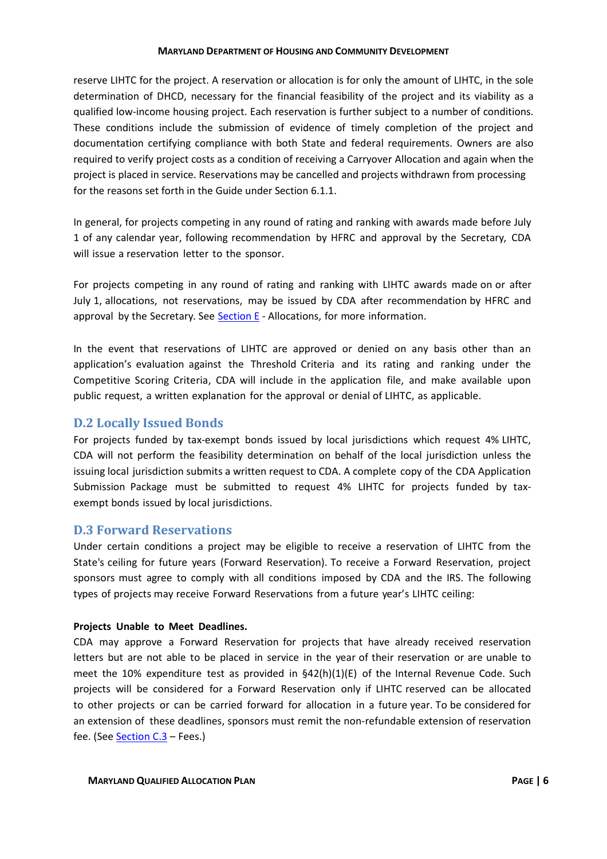reserve LIHTC for the project. A reservation or allocation is for only the amount of LIHTC, in the sole determination of DHCD, necessary for the financial feasibility of the project and its viability as a qualified low-income housing project. Each reservation is further subject to a number of conditions. These conditions include the submission of evidence of timely completion of the project and documentation certifying compliance with both State and federal requirements. Owners are also required to verify project costs as a condition of receiving a Carryover Allocation and again when the project is placed in service. Reservations may be cancelled and projects withdrawn from processing for the reasons set forth in the Guide under Section 6.1.1.

In general, for projects competing in any round of rating and ranking with awards made before July 1 of any calendar year, following recommendation by HFRC and approval by the Secretary, CDA will issue a reservation letter to the sponsor.

For projects competing in any round of rating and ranking with LIHTC awards made on or after July 1, allocations, not reservations, may be issued by CDA after recommendation by HFRC and approval by the Secretary. See  $Section E$  - Allocations, for more information.

In the event that reservations of LIHTC are approved or denied on any basis other than an application's evaluation against the Threshold Criteria and its rating and ranking under the Competitive Scoring Criteria, CDA will include in the application file, and make available upon public request, a written explanation for the approval or denial of LIHTC, as applicable.

### <span id="page-8-0"></span>**D.2 Locally Issued Bonds**

For projects funded by tax-exempt bonds issued by local jurisdictions which request 4% LIHTC, CDA will not perform the feasibility determination on behalf of the local jurisdiction unless the issuing local jurisdiction submits a written request to CDA. A complete copy of the CDA Application Submission Package must be submitted to request 4% LIHTC for projects funded by taxexempt bonds issued by local jurisdictions.

### <span id="page-8-1"></span>**D.3 Forward Reservations**

Under certain conditions a project may be eligible to receive a reservation of LIHTC from the State's ceiling for future years (Forward Reservation). To receive a Forward Reservation, project sponsors must agree to comply with all conditions imposed by CDA and the IRS. The following types of projects may receive Forward Reservations from a future year's LIHTC ceiling:

### **Projects Unable to Meet Deadlines.**

CDA may approve a Forward Reservation for projects that have already received reservation letters but are not able to be placed in service in the year of their reservation or are unable to meet the 10% expenditure test as provided in  $\S42(h)(1)(E)$  of the Internal Revenue Code. Such projects will be considered for a Forward Reservation only if LIHTC reserved can be allocated to other projects or can be carried forward for allocation in a future year. To be considered for an extension of these deadlines, sponsors must remit the non-refundable extension of reservation fee. (See [Section C.3](#page-7-1) - Fees.)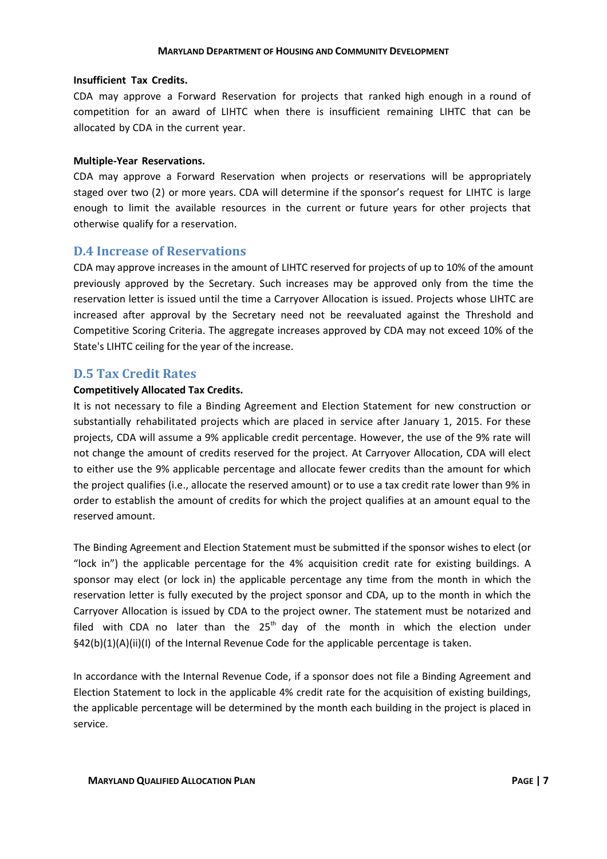### **Insufficient Tax Credits.**

CDA may approve a Forward Reservation for projects that ranked high enough in a round of competition for an award of LIHTC when there is insufficient remaining LIHTC that can be allocated by CDA in the current year.

### **Multiple-Year Reservations.**

CDA may approve a Forward Reservation when projects or reservations will be appropriately staged over two (2) or more years. CDA will determine if the sponsor's request for LIHTC is large enough to limit the available resources in the current or future years for other projects that otherwise qualify for a reservation.

### <span id="page-9-0"></span>**D.4 Increase of Reservations**

CDA may approve increases in the amount of LIHTC reserved for projects of up to 10% of the amount previously approved by the Secretary. Such increases may be approved only from the time the reservation letter is issued until the time a Carryover Allocation is issued. Projects whose LIHTC are increased after approval by the Secretary need not be reevaluated against the Threshold and Competitive Scoring Criteria. The aggregate increases approved by CDA may not exceed 10% of the State's LIHTC ceiling for the year of the increase.

### <span id="page-9-1"></span>**D.5 Tax Credit Rates**

### **Competitively Allocated Tax Credits.**

It is not necessary to file a Binding Agreement and Election Statement for new construction or substantially rehabilitated projects which are placed in service after January 1, 2015. For these projects, CDA will assume a 9% applicable credit percentage. However, the use of the 9% rate will not change the amount of credits reserved for the project. At Carryover Allocation, CDA will elect to either use the 9% applicable percentage and allocate fewer credits than the amount for which the project qualifies (i.e., allocate the reserved amount) or to use a tax credit rate lower than 9% in order to establish the amount of credits for which the project qualifies at an amount equal to the reserved amount.

The Binding Agreement and Election Statement must be submitted if the sponsor wishes to elect (or "lock in") the applicable percentage for the 4% acquisition credit rate for existing buildings. A sponsor may elect (or lock in) the applicable percentage any time from the month in which the reservation letter is fully executed by the project sponsor and CDA, up to the month in which the Carryover Allocation is issued by CDA to the project owner. The statement must be notarized and filed with CDA no later than the  $25<sup>th</sup>$  day of the month in which the election under §42(b)(1)(A)(ii)(I) of the Internal Revenue Code for the applicable percentage is taken.

In accordance with the Internal Revenue Code, if a sponsor does not file a Binding Agreement and Election Statement to lock in the applicable 4% credit rate for the acquisition of existing buildings, the applicable percentage will be determined by the month each building in the project is placed in service.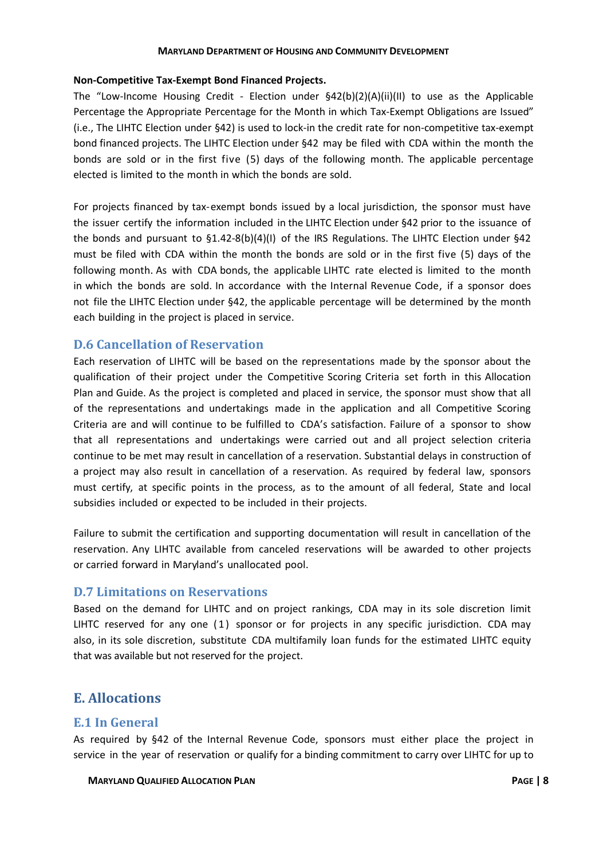### **Non-Competitive Tax-Exempt Bond Financed Projects.**

The "Low-Income Housing Credit - Election under  $\frac{642(b)(2)(A)(ii)(II)}{2}$  to use as the Applicable Percentage the Appropriate Percentage for the Month in which Tax-Exempt Obligations are Issued" (i.e., The LIHTC Election under §42) is used to lock-in the credit rate for non-competitive tax-exempt bond financed projects. The LIHTC Election under §42 may be filed with CDA within the month the bonds are sold or in the first five (5) days of the following month. The applicable percentage elected is limited to the month in which the bonds are sold.

For projects financed by tax-exempt bonds issued by a local jurisdiction, the sponsor must have the issuer certify the information included in the LIHTC Election under §42 prior to the issuance of the bonds and pursuant to §1.42-8(b)(4)(I) of the IRS Regulations. The LIHTC Election under §42 must be filed with CDA within the month the bonds are sold or in the first five (5) days of the following month. As with CDA bonds, the applicable LIHTC rate elected is limited to the month in which the bonds are sold. In accordance with the Internal Revenue Code, if a sponsor does not file the LIHTC Election under §42, the applicable percentage will be determined by the month each building in the project is placed in service.

# <span id="page-10-0"></span>**D.6 Cancellation of Reservation**

Each reservation of LIHTC will be based on the representations made by the sponsor about the qualification of their project under the Competitive Scoring Criteria set forth in this Allocation Plan and Guide. As the project is completed and placed in service, the sponsor must show that all of the representations and undertakings made in the application and all Competitive Scoring Criteria are and will continue to be fulfilled to CDA's satisfaction. Failure of a sponsor to show that all representations and undertakings were carried out and all project selection criteria continue to be met may result in cancellation of a reservation. Substantial delays in construction of a project may also result in cancellation of a reservation. As required by federal law, sponsors must certify, at specific points in the process, as to the amount of all federal, State and local subsidies included or expected to be included in their projects.

Failure to submit the certification and supporting documentation will result in cancellation of the reservation. Any LIHTC available from canceled reservations will be awarded to other projects or carried forward in Maryland's unallocated pool.

# <span id="page-10-1"></span>**D.7 Limitations on Reservations**

Based on the demand for LIHTC and on project rankings, CDA may in its sole discretion limit LIHTC reserved for any one  $(1)$  sponsor or for projects in any specific jurisdiction. CDA may also, in its sole discretion, substitute CDA multifamily loan funds for the estimated LIHTC equity that was available but not reserved for the project.

# <span id="page-10-2"></span>**E. Allocations**

# <span id="page-10-3"></span>**E.1 In General**

As required by §42 of the Internal Revenue Code, sponsors must either place the project in service in the year of reservation or qualify for a binding commitment to carry over LIHTC for up to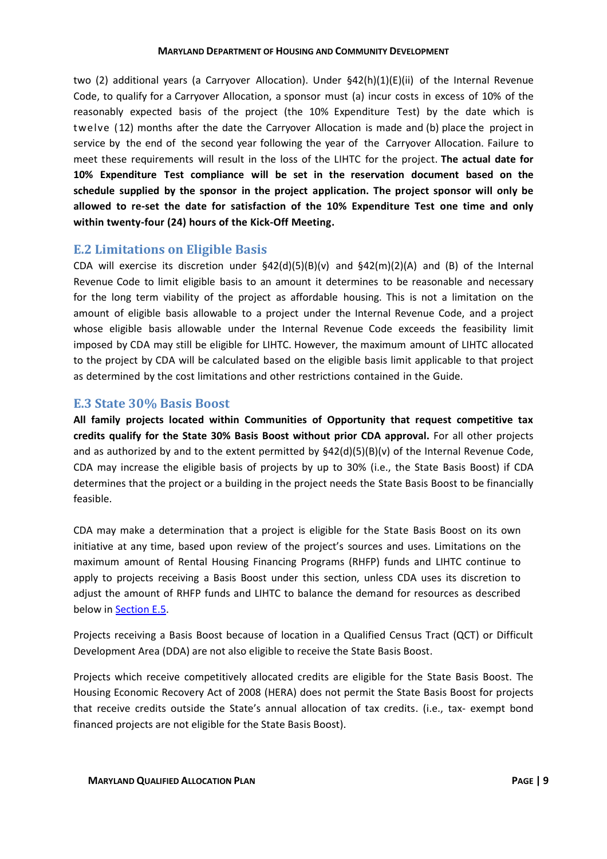two (2) additional years (a Carryover Allocation). Under §42(h)(1)(E)(ii) of the Internal Revenue Code, to qualify for a Carryover Allocation, a sponsor must (a) incur costs in excess of 10% of the reasonably expected basis of the project (the 10% Expenditure Test) by the date which is twelve (12) months after the date the Carryover Allocation is made and (b) place the project in service by the end of the second year following the year of the Carryover Allocation. Failure to meet these requirements will result in the loss of the LIHTC for the project. **The actual date for 10% Expenditure Test compliance will be set in the reservation document based on the schedule supplied by the sponsor in the project application. The project sponsor will only be allowed to re-set the date for satisfaction of the 10% Expenditure Test one time and only within twenty-four (24) hours of the Kick-Off Meeting.**

# <span id="page-11-0"></span>**E.2 Limitations on Eligible Basis**

CDA will exercise its discretion under  $\frac{642(d)(5)(B)(v)}{2d}$  and  $\frac{642(m)(2)(A)}{2d}$  and (B) of the Internal Revenue Code to limit eligible basis to an amount it determines to be reasonable and necessary for the long term viability of the project as affordable housing. This is not a limitation on the amount of eligible basis allowable to a project under the Internal Revenue Code, and a project whose eligible basis allowable under the Internal Revenue Code exceeds the feasibility limit imposed by CDA may still be eligible for LIHTC. However, the maximum amount of LIHTC allocated to the project by CDA will be calculated based on the eligible basis limit applicable to that project as determined by the cost limitations and other restrictions contained in the Guide.

# <span id="page-11-1"></span>**E.3 State 30% Basis Boost**

**All family projects located within Communities of Opportunity that request competitive tax credits qualify for the State 30% Basis Boost without prior CDA approval.** For all other projects and as authorized by and to the extent permitted by  $$42(d)(5)(B)(v)$  of the Internal Revenue Code, CDA may increase the eligible basis of projects by up to 30% (i.e., the State Basis Boost) if CDA determines that the project or a building in the project needs the State Basis Boost to be financially feasible.

CDA may make a determination that a project is eligible for the State Basis Boost on its own initiative at any time, based upon review of the project's sources and uses. Limitations on the maximum amount of Rental Housing Financing Programs (RHFP) funds and LIHTC continue to apply to projects receiving a Basis Boost under this section, unless CDA uses its discretion to adjust the amount of RHFP funds and LIHTC to balance the demand for resources as described below in [Section E.5.](#page-12-1)

Projects receiving a Basis Boost because of location in a Qualified Census Tract (QCT) or Difficult Development Area (DDA) are not also eligible to receive the State Basis Boost.

Projects which receive competitively allocated credits are eligible for the State Basis Boost. The Housing Economic Recovery Act of 2008 (HERA) does not permit the State Basis Boost for projects that receive credits outside the State's annual allocation of tax credits. (i.e., tax- exempt bond financed projects are not eligible for the State Basis Boost).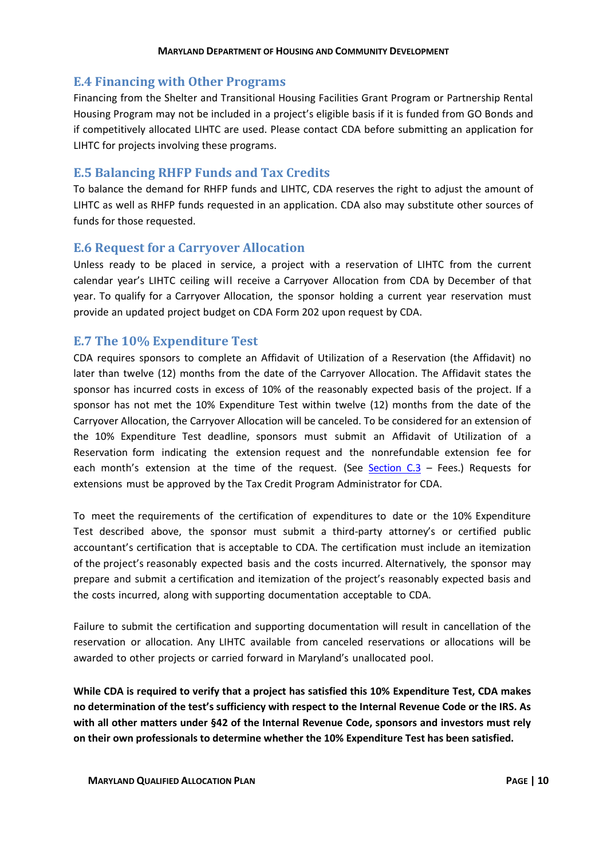# <span id="page-12-0"></span>**E.4 Financing with Other Programs**

Financing from the Shelter and Transitional Housing Facilities Grant Program or Partnership Rental Housing Program may not be included in a project's eligible basis if it is funded from GO Bonds and if competitively allocated LIHTC are used. Please contact CDA before submitting an application for LIHTC for projects involving these programs.

# <span id="page-12-1"></span>**E.5 Balancing RHFP Funds and Tax Credits**

To balance the demand for RHFP funds and LIHTC, CDA reserves the right to adjust the amount of LIHTC as well as RHFP funds requested in an application. CDA also may substitute other sources of funds for those requested.

# <span id="page-12-2"></span>**E.6 Request for a Carryover Allocation**

Unless ready to be placed in service, a project with a reservation of LIHTC from the current calendar year's LIHTC ceiling will receive a Carryover Allocation from CDA by December of that year. To qualify for a Carryover Allocation, the sponsor holding a current year reservation must provide an updated project budget on CDA Form 202 upon request by CDA.

# <span id="page-12-3"></span>**E.7 The 10% Expenditure Test**

CDA requires sponsors to complete an Affidavit of Utilization of a Reservation (the Affidavit) no later than twelve (12) months from the date of the Carryover Allocation. The Affidavit states the sponsor has incurred costs in excess of 10% of the reasonably expected basis of the project. If a sponsor has not met the 10% Expenditure Test within twelve (12) months from the date of the Carryover Allocation, the Carryover Allocation will be canceled. To be considered for an extension of the 10% Expenditure Test deadline, sponsors must submit an Affidavit of Utilization of a Reservation form indicating the extension request and the nonrefundable extension fee for each month's extension at the time of the request. (See Section  $C_1$  – Fees.) Requests for extensions must be approved by the Tax Credit Program Administrator for CDA.

To meet the requirements of the certification of expenditures to date or the 10% Expenditure Test described above, the sponsor must submit a third-party attorney's or certified public accountant's certification that is acceptable to CDA. The certification must include an itemization of the project's reasonably expected basis and the costs incurred. Alternatively, the sponsor may prepare and submit a certification and itemization of the project's reasonably expected basis and the costs incurred, along with supporting documentation acceptable to CDA.

Failure to submit the certification and supporting documentation will result in cancellation of the reservation or allocation. Any LIHTC available from canceled reservations or allocations will be awarded to other projects or carried forward in Maryland's unallocated pool.

**While CDA is required to verify that a project has satisfied this 10% Expenditure Test, CDA makes no determination of the test's sufficiency with respect to the Internal Revenue Code or the IRS. As with all other matters under §42 of the Internal Revenue Code, sponsors and investors must rely on their own professionals to determine whether the 10% Expenditure Test has been satisfied.**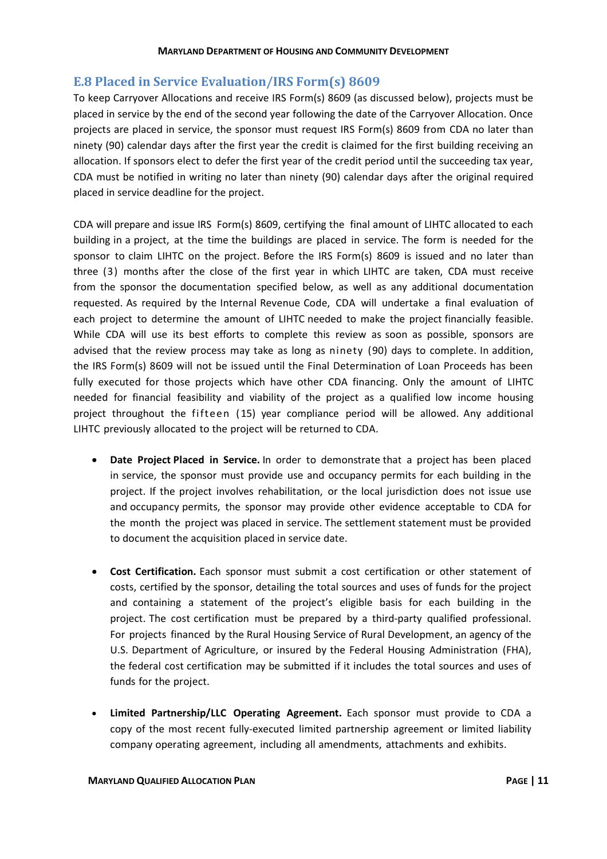# <span id="page-13-0"></span>**E.8 Placed in Service Evaluation/IRS Form(s) 8609**

To keep Carryover Allocations and receive IRS Form(s) 8609 (as discussed below), projects must be placed in service by the end of the second year following the date of the Carryover Allocation. Once projects are placed in service, the sponsor must request IRS Form(s) 8609 from CDA no later than ninety (90) calendar days after the first year the credit is claimed for the first building receiving an allocation. If sponsors elect to defer the first year of the credit period until the succeeding tax year, CDA must be notified in writing no later than ninety (90) calendar days after the original required placed in service deadline for the project.

CDA will prepare and issue IRS Form(s) 8609, certifying the final amount of LIHTC allocated to each building in a project, at the time the buildings are placed in service. The form is needed for the sponsor to claim LIHTC on the project. Before the IRS Form(s) 8609 is issued and no later than three (3) months after the close of the first year in which LIHTC are taken, CDA must receive from the sponsor the documentation specified below, as well as any additional documentation requested. As required by the Internal Revenue Code, CDA will undertake a final evaluation of each project to determine the amount of LIHTC needed to make the project financially feasible. While CDA will use its best efforts to complete this review as soon as possible, sponsors are advised that the review process may take as long as ninety (90) days to complete. In addition, the IRS Form(s) 8609 will not be issued until the Final Determination of Loan Proceeds has been fully executed for those projects which have other CDA financing. Only the amount of LIHTC needed for financial feasibility and viability of the project as a qualified low income housing project throughout the fifteen (15) year compliance period will be allowed. Any additional LIHTC previously allocated to the project will be returned to CDA.

- **Date Project Placed in Service.** In order to demonstrate that a project has been placed in service, the sponsor must provide use and occupancy permits for each building in the project. If the project involves rehabilitation, or the local jurisdiction does not issue use and occupancy permits, the sponsor may provide other evidence acceptable to CDA for the month the project was placed in service. The settlement statement must be provided to document the acquisition placed in service date.
- **Cost Certification.** Each sponsor must submit a cost certification or other statement of costs, certified by the sponsor, detailing the total sources and uses of funds for the project and containing a statement of the project's eligible basis for each building in the project. The cost certification must be prepared by a third-party qualified professional. For projects financed by the Rural Housing Service of Rural Development, an agency of the U.S. Department of Agriculture, or insured by the Federal Housing Administration (FHA), the federal cost certification may be submitted if it includes the total sources and uses of funds for the project.
- **Limited Partnership/LLC Operating Agreement.** Each sponsor must provide to CDA a copy of the most recent fully-executed limited partnership agreement or limited liability company operating agreement, including all amendments, attachments and exhibits.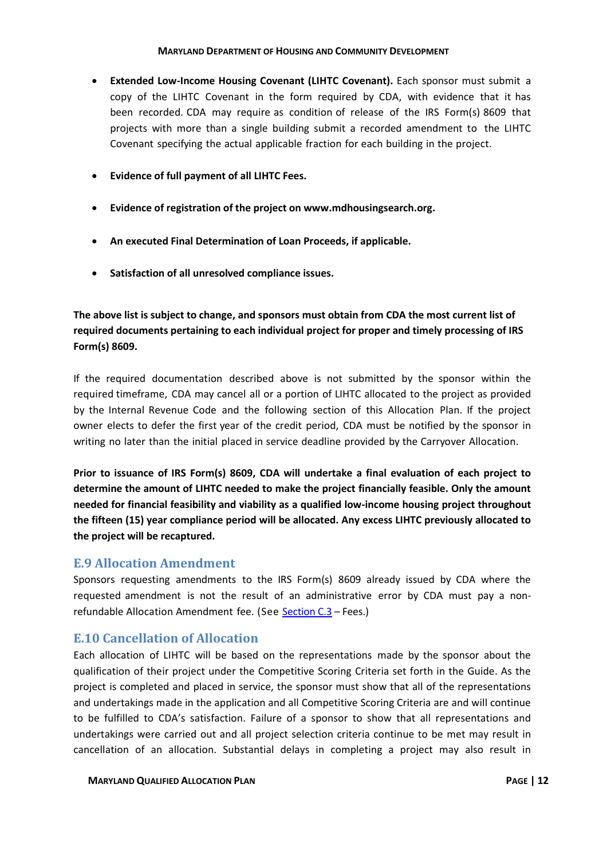- **Extended Low-Income Housing Covenant (LIHTC Covenant).** Each sponsor must submit a copy of the LIHTC Covenant in the form required by CDA, with evidence that it has been recorded. CDA may require as condition of release of the IRS Form(s) 8609 that projects with more than a single building submit a recorded amendment to the LIHTC Covenant specifying the actual applicable fraction for each building in the project.
- **Evidence of full payment of all LIHTC Fees.**
- **Evidence of registration of the project on www.mdhousingsearch.org.**
- **An executed Final Determination of Loan Proceeds, if applicable.**
- **Satisfaction of all unresolved compliance issues.**

**The above list is subject to change, and sponsors must obtain from CDA the most current list of required documents pertaining to each individual project for proper and timely processing of IRS Form(s) 8609.**

If the required documentation described above is not submitted by the sponsor within the required timeframe, CDA may cancel all or a portion of LIHTC allocated to the project as provided by the Internal Revenue Code and the following section of this Allocation Plan. If the project owner elects to defer the first year of the credit period, CDA must be notified by the sponsor in writing no later than the initial placed in service deadline provided by the Carryover Allocation.

**Prior to issuance of IRS Form(s) 8609, CDA will undertake a final evaluation of each project to determine the amount of LIHTC needed to make the project financially feasible. Only the amount needed for financial feasibility and viability as a qualified low-income housing project throughout the fifteen (15) year compliance period will be allocated. Any excess LIHTC previously allocated to the project will be recaptured.**

# <span id="page-14-0"></span>**E.9 Allocation Amendment**

Sponsors requesting amendments to the IRS Form(s) 8609 already issued by CDA where the requested amendment is not the result of an administrative error by CDA must pay a nonrefundable Allocation Amendment fee. (See [Section C.3](#page-7-1) – Fees.)

# <span id="page-14-1"></span>**E.10 Cancellation of Allocation**

Each allocation of LIHTC will be based on the representations made by the sponsor about the qualification of their project under the Competitive Scoring Criteria set forth in the Guide. As the project is completed and placed in service, the sponsor must show that all of the representations and undertakings made in the application and all Competitive Scoring Criteria are and will continue to be fulfilled to CDA's satisfaction. Failure of a sponsor to show that all representations and undertakings were carried out and all project selection criteria continue to be met may result in cancellation of an allocation. Substantial delays in completing a project may also result in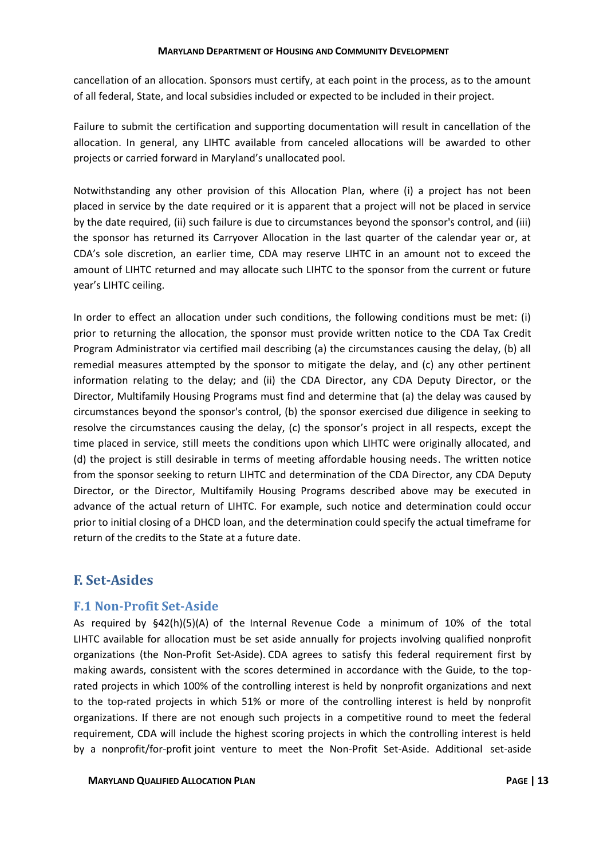cancellation of an allocation. Sponsors must certify, at each point in the process, as to the amount of all federal, State, and local subsidies included or expected to be included in their project.

Failure to submit the certification and supporting documentation will result in cancellation of the allocation. In general, any LIHTC available from canceled allocations will be awarded to other projects or carried forward in Maryland's unallocated pool.

Notwithstanding any other provision of this Allocation Plan, where (i) a project has not been placed in service by the date required or it is apparent that a project will not be placed in service by the date required, (ii) such failure is due to circumstances beyond the sponsor's control, and (iii) the sponsor has returned its Carryover Allocation in the last quarter of the calendar year or, at CDA's sole discretion, an earlier time, CDA may reserve LIHTC in an amount not to exceed the amount of LIHTC returned and may allocate such LIHTC to the sponsor from the current or future year's LIHTC ceiling.

In order to effect an allocation under such conditions, the following conditions must be met: (i) prior to returning the allocation, the sponsor must provide written notice to the CDA Tax Credit Program Administrator via certified mail describing (a) the circumstances causing the delay, (b) all remedial measures attempted by the sponsor to mitigate the delay, and (c) any other pertinent information relating to the delay; and (ii) the CDA Director, any CDA Deputy Director, or the Director, Multifamily Housing Programs must find and determine that (a) the delay was caused by circumstances beyond the sponsor's control, (b) the sponsor exercised due diligence in seeking to resolve the circumstances causing the delay, (c) the sponsor's project in all respects, except the time placed in service, still meets the conditions upon which LIHTC were originally allocated, and (d) the project is still desirable in terms of meeting affordable housing needs. The written notice from the sponsor seeking to return LIHTC and determination of the CDA Director, any CDA Deputy Director, or the Director, Multifamily Housing Programs described above may be executed in advance of the actual return of LIHTC. For example, such notice and determination could occur prior to initial closing of a DHCD loan, and the determination could specify the actual timeframe for return of the credits to the State at a future date.

# <span id="page-15-0"></span>**F. Set-Asides**

# <span id="page-15-1"></span>**F.1 Non-Profit Set-Aside**

As required by §42(h)(5)(A) of the Internal Revenue Code a minimum of 10% of the total LIHTC available for allocation must be set aside annually for projects involving qualified nonprofit organizations (the Non-Profit Set-Aside). CDA agrees to satisfy this federal requirement first by making awards, consistent with the scores determined in accordance with the Guide, to the toprated projects in which 100% of the controlling interest is held by nonprofit organizations and next to the top-rated projects in which 51% or more of the controlling interest is held by nonprofit organizations. If there are not enough such projects in a competitive round to meet the federal requirement, CDA will include the highest scoring projects in which the controlling interest is held by a nonprofit/for-profit joint venture to meet the Non-Profit Set-Aside. Additional set-aside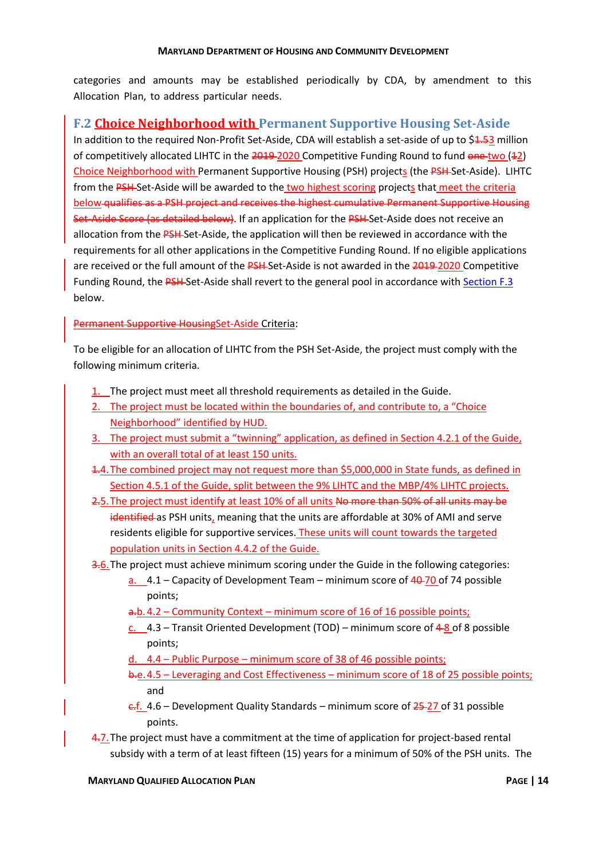categories and amounts may be established periodically by CDA, by amendment to this Allocation Plan, to address particular needs.

# <span id="page-16-0"></span>**F.2 Choice Neighborhood with Permanent Supportive Housing Set-Aside**

In addition to the required Non-Profit Set-Aside, CDA will establish a set-aside of up to \$1.53 million of competitively allocated LIHTC in the 2019-2020 Competitive Funding Round to fund one two (12) Choice Neighborhood with Permanent Supportive Housing (PSH) projects (the PSH Set-Aside). LIHTC from the PSH-Set-Aside will be awarded to the two highest scoring projects that meet the criteria below qualifies as a PSH project and receives the highest cumulative Permanent Supportive Housing Set-Aside Score (as detailed below). If an application for the PSH Set-Aside does not receive an allocation from the PSH-Set-Aside, the application will then be reviewed in accordance with the requirements for all other applications in the Competitive Funding Round. If no eligible applications are received or the full amount of the PSH-Set-Aside is not awarded in the 2019-2020 Competitive Funding Round, the PSH-Set-Aside shall revert to the general pool in accordance with [Section F.3](#page-18-0) below.

# Permanent Supportive HousingSet-Aside Criteria:

To be eligible for an allocation of LIHTC from the PSH Set-Aside, the project must comply with the following minimum criteria.

- 1. The project must meet all threshold requirements as detailed in the Guide.
- 2. The project must be located within the boundaries of, and contribute to, a "Choice Neighborhood" identified by HUD.
- 3. The project must submit a "twinning" application, as defined in Section 4.2.1 of the Guide, with an overall total of at least 150 units.
- 1.4.The combined project may not request more than \$5,000,000 in State funds, as defined in Section 4.5.1 of the Guide, split between the 9% LIHTC and the MBP/4% LIHTC projects.
- 2.5. The project must identify at least 10% of all units No more than 50% of all units may be identified as PSH units, meaning that the units are affordable at 30% of AMI and serve residents eligible for supportive services. These units will count towards the targeted population units in Section 4.4.2 of the Guide.

3.6.The project must achieve minimum scoring under the Guide in the following categories:

- a. 4.1 Capacity of Development Team minimum score of 40 70 of 74 possible points;
- a.b. 4.2 Community Context minimum score of 16 of 16 possible points;
- c.  $4.3$  Transit Oriented Development (TOD) minimum score of  $4-8$  of 8 possible points;
- d. 4.4 Public Purpose minimum score of 38 of 46 possible points;
- b.e.4.5 Leveraging and Cost Effectiveness minimum score of 18 of 25 possible points; and
- $\frac{c.f.}{c}$  4.6 Development Quality Standards minimum score of  $\frac{25-27}{c}$  of 31 possible points.
- 4.7. The project must have a commitment at the time of application for project-based rental subsidy with a term of at least fifteen (15) years for a minimum of 50% of the PSH units. The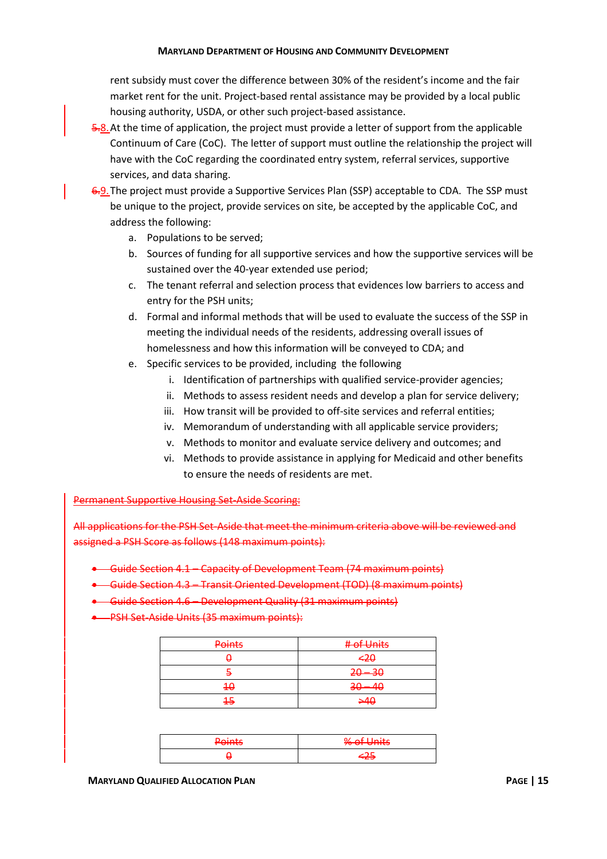rent subsidy must cover the difference between 30% of the resident's income and the fair market rent for the unit. Project-based rental assistance may be provided by a local public housing authority, USDA, or other such project-based assistance.

- 5.8. At the time of application, the project must provide a letter of support from the applicable Continuum of Care (CoC). The letter of support must outline the relationship the project will have with the CoC regarding the coordinated entry system, referral services, supportive services, and data sharing.
- 6.9. The project must provide a Supportive Services Plan (SSP) acceptable to CDA. The SSP must be unique to the project, provide services on site, be accepted by the applicable CoC, and address the following:
	- a. Populations to be served;
	- b. Sources of funding for all supportive services and how the supportive services will be sustained over the 40-year extended use period;
	- c. The tenant referral and selection process that evidences low barriers to access and entry for the PSH units;
	- d. Formal and informal methods that will be used to evaluate the success of the SSP in meeting the individual needs of the residents, addressing overall issues of homelessness and how this information will be conveyed to CDA; and
	- e. Specific services to be provided, including the following
		- i. Identification of partnerships with qualified service-provider agencies;
		- ii. Methods to assess resident needs and develop a plan for service delivery;
		- iii. How transit will be provided to off-site services and referral entities;
		- iv. Memorandum of understanding with all applicable service providers;
		- v. Methods to monitor and evaluate service delivery and outcomes; and
		- vi. Methods to provide assistance in applying for Medicaid and other benefits to ensure the needs of residents are met.

Permanent Supportive Housing Set-Aside Scoring:

All applications for the PSH Set-Aside that meet the minimum criteria above will be reviewed and assigned a PSH Score as follows (148 maximum points):

- Guide Section 4.1 Capacity of Development Team (74 maximum points)
- Guide Section 4.3 Transit Oriented Development (TOD) (8 maximum points)
- Guide Section 4.6 Development Quality (31 maximum points)
- **•** PSH Set-Aside Units (35 maximum points):

| <b>Points</b> | # of Units |
|---------------|------------|
|               | $-20$      |
|               | $20 - 30$  |
| $4\theta$     | $30 - 40$  |
| 45            | 540        |

| <b>Points</b> | % of Units |
|---------------|------------|
|               | <u>т.</u>  |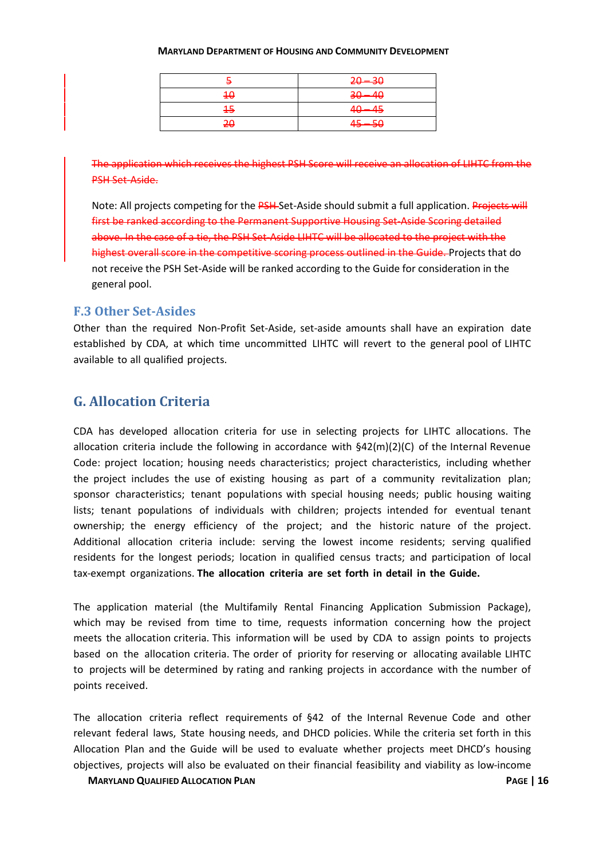|    | $20 - 30$ |
|----|-----------|
| 40 | $30 - 40$ |
| 15 | $40 - 45$ |
| 20 | $45 - 50$ |

The application which receives the highest PSH Score will receive an allocation of LIHTC from the PSH Set-Aside.

Note: All projects competing for the PSH-Set-Aside should submit a full application. Projects will first be ranked according to the Permanent Supportive Housing Set-Aside Scoring detailed above. In the case of a tie, the PSH Set-Aside LIHTC will be allocated to the project with the highest overall score in the competitive scoring process outlined in the Guide. Projects that do not receive the PSH Set-Aside will be ranked according to the Guide for consideration in the general pool.

# <span id="page-18-0"></span>**F.3 Other Set-Asides**

Other than the required Non-Profit Set-Aside, set-aside amounts shall have an expiration date established by CDA, at which time uncommitted LIHTC will revert to the general pool of LIHTC available to all qualified projects.

# <span id="page-18-1"></span>**G. Allocation Criteria**

CDA has developed allocation criteria for use in selecting projects for LIHTC allocations. The allocation criteria include the following in accordance with §42(m)(2)(C) of the Internal Revenue Code: project location; housing needs characteristics; project characteristics, including whether the project includes the use of existing housing as part of a community revitalization plan; sponsor characteristics; tenant populations with special housing needs; public housing waiting lists; tenant populations of individuals with children; projects intended for eventual tenant ownership; the energy efficiency of the project; and the historic nature of the project. Additional allocation criteria include: serving the lowest income residents; serving qualified residents for the longest periods; location in qualified census tracts; and participation of local tax-exempt organizations. **The allocation criteria are set forth in detail in the Guide.**

The application material (the Multifamily Rental Financing Application Submission Package), which may be revised from time to time, requests information concerning how the project meets the allocation criteria. This information will be used by CDA to assign points to projects based on the allocation criteria. The order of priority for reserving or allocating available LIHTC to projects will be determined by rating and ranking projects in accordance with the number of points received.

The allocation criteria reflect requirements of §42 of the Internal Revenue Code and other relevant federal laws, State housing needs, and DHCD policies. While the criteria set forth in this Allocation Plan and the Guide will be used to evaluate whether projects meet DHCD's housing objectives, projects will also be evaluated on their financial feasibility and viability as low-income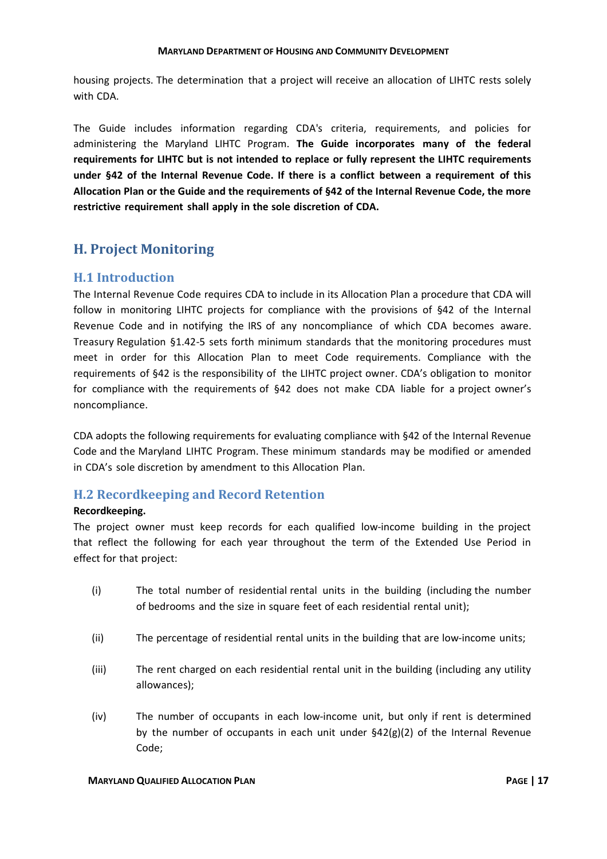housing projects. The determination that a project will receive an allocation of LIHTC rests solely with CDA.

The Guide includes information regarding CDA's criteria, requirements, and policies for administering the Maryland LIHTC Program. **The Guide incorporates many of the federal requirements for LIHTC but is not intended to replace or fully represent the LIHTC requirements under §42 of the Internal Revenue Code. If there is a conflict between a requirement of this Allocation Plan or the Guide and the requirements of §42 of the Internal Revenue Code, the more restrictive requirement shall apply in the sole discretion of CDA.**

# <span id="page-19-0"></span>**H. Project Monitoring**

# <span id="page-19-1"></span>**H.1 Introduction**

The Internal Revenue Code requires CDA to include in its Allocation Plan a procedure that CDA will follow in monitoring LIHTC projects for compliance with the provisions of §42 of the Internal Revenue Code and in notifying the IRS of any noncompliance of which CDA becomes aware. Treasury Regulation §1.42-5 sets forth minimum standards that the monitoring procedures must meet in order for this Allocation Plan to meet Code requirements. Compliance with the requirements of §42 is the responsibility of the LIHTC project owner. CDA's obligation to monitor for compliance with the requirements of §42 does not make CDA liable for a project owner's noncompliance.

CDA adopts the following requirements for evaluating compliance with §42 of the Internal Revenue Code and the Maryland LIHTC Program. These minimum standards may be modified or amended in CDA's sole discretion by amendment to this Allocation Plan.

# <span id="page-19-2"></span>**H.2 Recordkeeping and Record Retention**

### **Recordkeeping.**

The project owner must keep records for each qualified low-income building in the project that reflect the following for each year throughout the term of the Extended Use Period in effect for that project:

- (i) The total number of residential rental units in the building (including the number of bedrooms and the size in square feet of each residential rental unit);
- (ii) The percentage of residential rental units in the building that are low-income units;
- (iii) The rent charged on each residential rental unit in the building (including any utility allowances);
- (iv) The number of occupants in each low-income unit, but only if rent is determined by the number of occupants in each unit under  $\S$ 42(g)(2) of the Internal Revenue Code;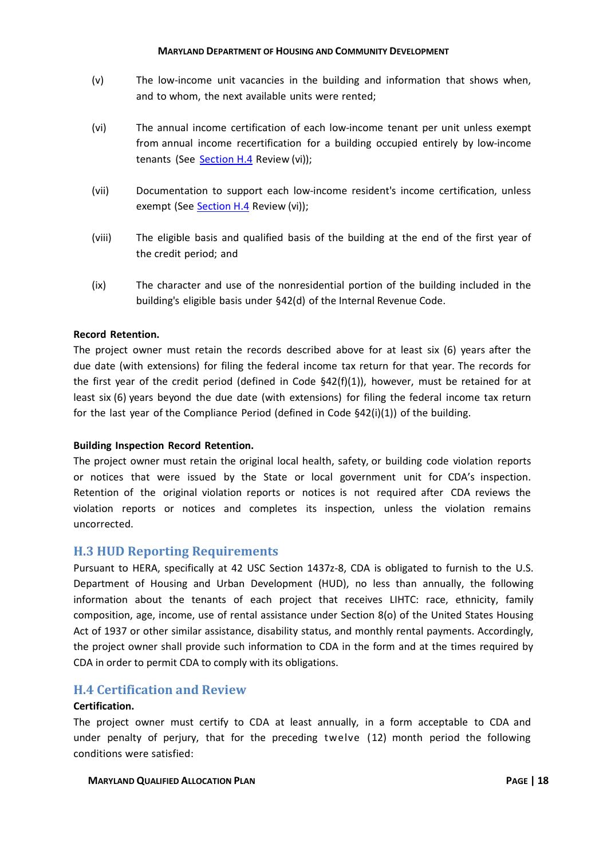- (v) The low-income unit vacancies in the building and information that shows when, and to whom, the next available units were rented;
- (vi) The annual income certification of each low-income tenant per unit unless exempt from annual income recertification for a building occupied entirely by low-income tenants (See [Section H.4](#page-20-1) Review (vi));
- (vii) Documentation to support each low-income resident's income certification, unless exempt (See [Section H.4](#page-20-1) Review (vi));
- (viii) The eligible basis and qualified basis of the building at the end of the first year of the credit period; and
- (ix) The character and use of the nonresidential portion of the building included in the building's eligible basis under §42(d) of the Internal Revenue Code.

### **Record Retention.**

The project owner must retain the records described above for at least six (6) years after the due date (with extensions) for filing the federal income tax return for that year. The records for the first year of the credit period (defined in Code  $\S42(f)(1)$ ), however, must be retained for at least six (6) years beyond the due date (with extensions) for filing the federal income tax return for the last year of the Compliance Period (defined in Code §42(i)(1)) of the building.

### **Building Inspection Record Retention.**

The project owner must retain the original local health, safety, or building code violation reports or notices that were issued by the State or local government unit for CDA's inspection. Retention of the original violation reports or notices is not required after CDA reviews the violation reports or notices and completes its inspection, unless the violation remains uncorrected.

### <span id="page-20-0"></span>**H.3 HUD Reporting Requirements**

Pursuant to HERA, specifically at 42 USC Section 1437z-8, CDA is obligated to furnish to the U.S. Department of Housing and Urban Development (HUD), no less than annually, the following information about the tenants of each project that receives LIHTC: race, ethnicity, family composition, age, income, use of rental assistance under Section 8(o) of the United States Housing Act of 1937 or other similar assistance, disability status, and monthly rental payments. Accordingly, the project owner shall provide such information to CDA in the form and at the times required by CDA in order to permit CDA to comply with its obligations.

### <span id="page-20-1"></span>**H.4 Certification and Review**

### **Certification.**

The project owner must certify to CDA at least annually, in a form acceptable to CDA and under penalty of perjury, that for the preceding twelve (12) month period the following conditions were satisfied: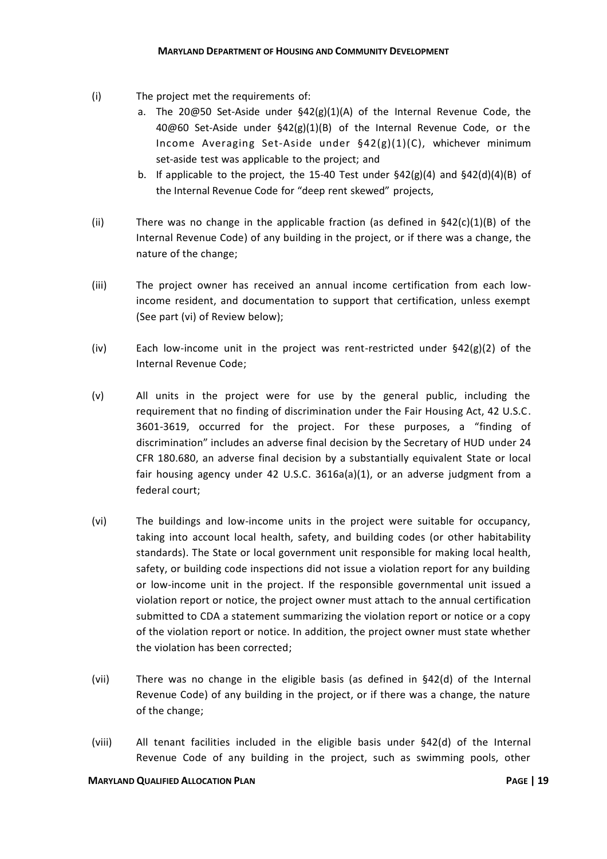- (i) The project met the requirements of:
	- a. The 20@50 Set-Aside under  $$42(g)(1)(A)$  of the Internal Revenue Code, the 40@60 Set-Aside under §42(g)(1)(B) of the Internal Revenue Code, or the Income Averaging Set-Aside under §42(g)(1)(C), whichever minimum set-aside test was applicable to the project; and
	- b. If applicable to the project, the 15-40 Test under  $\S 42(g)(4)$  and  $\S 42(d)(4)(B)$  of the Internal Revenue Code for "deep rent skewed" projects,
- (ii) There was no change in the applicable fraction (as defined in  $\frac{642(c)(1)(B)}{2}$  of the Internal Revenue Code) of any building in the project, or if there was a change, the nature of the change;
- (iii) The project owner has received an annual income certification from each lowincome resident, and documentation to support that certification, unless exempt (See part (vi) of Review below);
- (iv) Each low-income unit in the project was rent-restricted under §42(g)(2) of the Internal Revenue Code;
- (v) All units in the project were for use by the general public, including the requirement that no finding of discrimination under the Fair Housing Act, 42 U.S.C. 3601-3619, occurred for the project. For these purposes, a "finding of discrimination" includes an adverse final decision by the Secretary of HUD under 24 CFR 180.680, an adverse final decision by a substantially equivalent State or local fair housing agency under 42 U.S.C. 3616a(a)(1), or an adverse judgment from a federal court;
- (vi) The buildings and low-income units in the project were suitable for occupancy, taking into account local health, safety, and building codes (or other habitability standards). The State or local government unit responsible for making local health, safety, or building code inspections did not issue a violation report for any building or low-income unit in the project. If the responsible governmental unit issued a violation report or notice, the project owner must attach to the annual certification submitted to CDA a statement summarizing the violation report or notice or a copy of the violation report or notice. In addition, the project owner must state whether the violation has been corrected;
- (vii) There was no change in the eligible basis (as defined in §42(d) of the Internal Revenue Code) of any building in the project, or if there was a change, the nature of the change;
- (viii) All tenant facilities included in the eligible basis under §42(d) of the Internal Revenue Code of any building in the project, such as swimming pools, other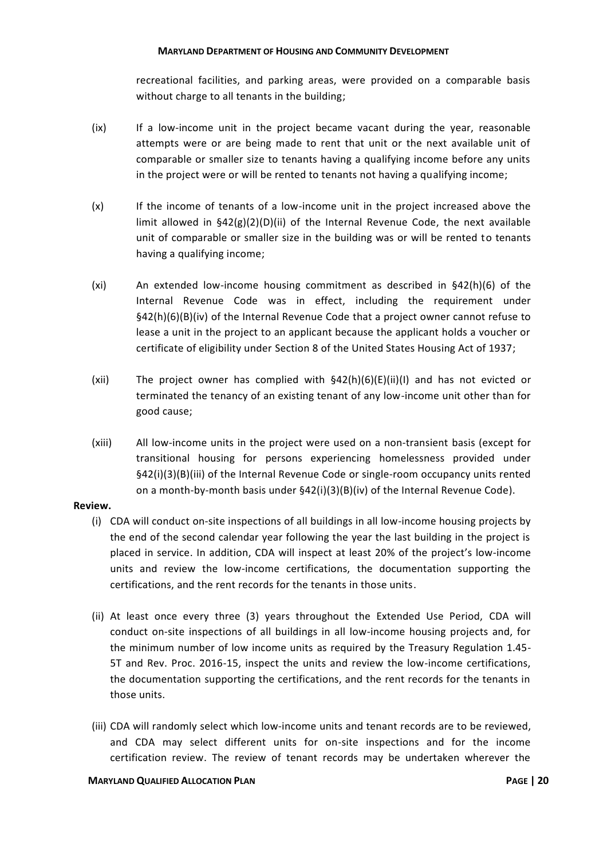recreational facilities, and parking areas, were provided on a comparable basis without charge to all tenants in the building;

- (ix) If a low-income unit in the project became vacant during the year, reasonable attempts were or are being made to rent that unit or the next available unit of comparable or smaller size to tenants having a qualifying income before any units in the project were or will be rented to tenants not having a qualifying income;
- (x) If the income of tenants of a low-income unit in the project increased above the limit allowed in §42(g)(2)(D)(ii) of the Internal Revenue Code, the next available unit of comparable or smaller size in the building was or will be rented to tenants having a qualifying income;
- (xi) An extended low-income housing commitment as described in §42(h)(6) of the Internal Revenue Code was in effect, including the requirement under §42(h)(6)(B)(iv) of the Internal Revenue Code that a project owner cannot refuse to lease a unit in the project to an applicant because the applicant holds a voucher or certificate of eligibility under Section 8 of the United States Housing Act of 1937;
- (xii) The project owner has complied with  $\S 42(h)(6)(E)(ii)(I)$  and has not evicted or terminated the tenancy of an existing tenant of any low-income unit other than for good cause;
- (xiii) All low-income units in the project were used on a non-transient basis (except for transitional housing for persons experiencing homelessness provided under §42(i)(3)(B)(iii) of the Internal Revenue Code or single-room occupancy units rented on a month-by-month basis under §42(i)(3)(B)(iv) of the Internal Revenue Code).

### **Review.**

- (i) CDA will conduct on-site inspections of all buildings in all low-income housing projects by the end of the second calendar year following the year the last building in the project is placed in service. In addition, CDA will inspect at least 20% of the project's low-income units and review the low-income certifications, the documentation supporting the certifications, and the rent records for the tenants in those units.
- (ii) At least once every three (3) years throughout the Extended Use Period, CDA will conduct on-site inspections of all buildings in all low-income housing projects and, for the minimum number of low income units as required by the Treasury Regulation 1.45- 5T and Rev. Proc. 2016-15, inspect the units and review the low-income certifications, the documentation supporting the certifications, and the rent records for the tenants in those units.
- (iii) CDA will randomly select which low-income units and tenant records are to be reviewed, and CDA may select different units for on-site inspections and for the income certification review. The review of tenant records may be undertaken wherever the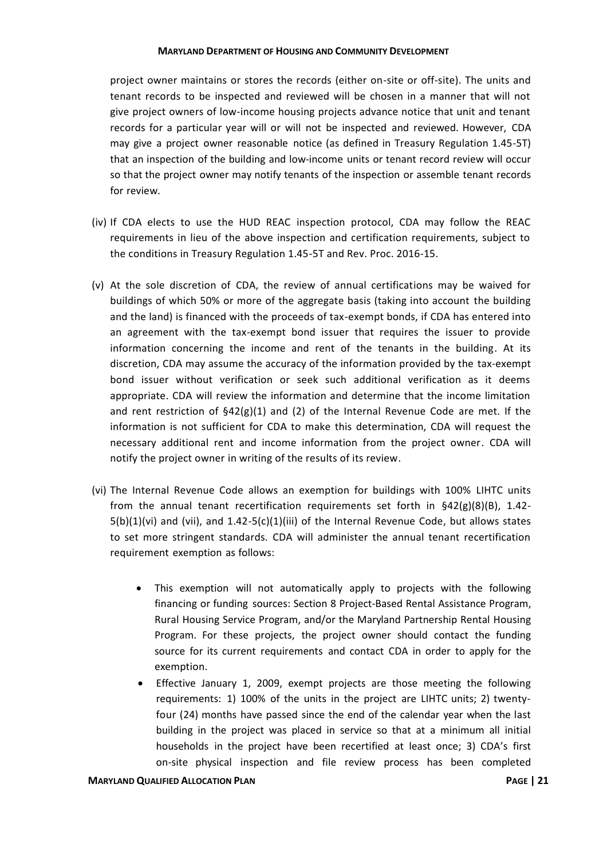project owner maintains or stores the records (either on-site or off-site). The units and tenant records to be inspected and reviewed will be chosen in a manner that will not give project owners of low-income housing projects advance notice that unit and tenant records for a particular year will or will not be inspected and reviewed. However, CDA may give a project owner reasonable notice (as defined in Treasury Regulation 1.45-5T) that an inspection of the building and low-income units or tenant record review will occur so that the project owner may notify tenants of the inspection or assemble tenant records for review.

- (iv) If CDA elects to use the HUD REAC inspection protocol, CDA may follow the REAC requirements in lieu of the above inspection and certification requirements, subject to the conditions in Treasury Regulation 1.45-5T and Rev. Proc. 2016-15.
- (v) At the sole discretion of CDA, the review of annual certifications may be waived for buildings of which 50% or more of the aggregate basis (taking into account the building and the land) is financed with the proceeds of tax-exempt bonds, if CDA has entered into an agreement with the tax-exempt bond issuer that requires the issuer to provide information concerning the income and rent of the tenants in the building. At its discretion, CDA may assume the accuracy of the information provided by the tax-exempt bond issuer without verification or seek such additional verification as it deems appropriate. CDA will review the information and determine that the income limitation and rent restriction of  $\frac{642(g)(1)}{2}$  and (2) of the Internal Revenue Code are met. If the information is not sufficient for CDA to make this determination, CDA will request the necessary additional rent and income information from the project owner. CDA will notify the project owner in writing of the results of its review.
- (vi) The Internal Revenue Code allows an exemption for buildings with 100% LIHTC units from the annual tenant recertification requirements set forth in  $\S42(g)(8)(B)$ , 1.42- $5(b)(1)(vi)$  and (vii), and  $1.42-5(c)(1)(iii)$  of the Internal Revenue Code, but allows states to set more stringent standards. CDA will administer the annual tenant recertification requirement exemption as follows:
	- This exemption will not automatically apply to projects with the following financing or funding sources: Section 8 Project-Based Rental Assistance Program, Rural Housing Service Program, and/or the Maryland Partnership Rental Housing Program. For these projects, the project owner should contact the funding source for its current requirements and contact CDA in order to apply for the exemption.
	- Effective January 1, 2009, exempt projects are those meeting the following requirements: 1) 100% of the units in the project are LIHTC units; 2) twentyfour (24) months have passed since the end of the calendar year when the last building in the project was placed in service so that at a minimum all initial households in the project have been recertified at least once; 3) CDA's first on-site physical inspection and file review process has been completed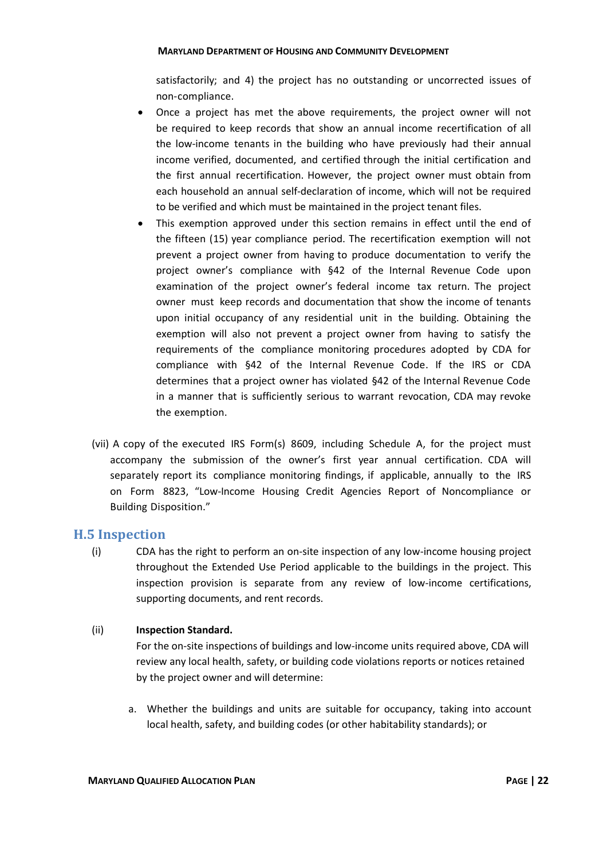satisfactorily; and 4) the project has no outstanding or uncorrected issues of non-compliance.

- Once a project has met the above requirements, the project owner will not be required to keep records that show an annual income recertification of all the low-income tenants in the building who have previously had their annual income verified, documented, and certified through the initial certification and the first annual recertification. However, the project owner must obtain from each household an annual self-declaration of income, which will not be required to be verified and which must be maintained in the project tenant files.
- This exemption approved under this section remains in effect until the end of the fifteen (15) year compliance period. The recertification exemption will not prevent a project owner from having to produce documentation to verify the project owner's compliance with §42 of the Internal Revenue Code upon examination of the project owner's federal income tax return. The project owner must keep records and documentation that show the income of tenants upon initial occupancy of any residential unit in the building. Obtaining the exemption will also not prevent a project owner from having to satisfy the requirements of the compliance monitoring procedures adopted by CDA for compliance with §42 of the Internal Revenue Code. If the IRS or CDA determines that a project owner has violated §42 of the Internal Revenue Code in a manner that is sufficiently serious to warrant revocation, CDA may revoke the exemption.
- (vii) A copy of the executed IRS Form(s) 8609, including Schedule A, for the project must accompany the submission of the owner's first year annual certification. CDA will separately report its compliance monitoring findings, if applicable, annually to the IRS on Form 8823, "Low-Income Housing Credit Agencies Report of Noncompliance or Building Disposition."

# <span id="page-24-0"></span>**H.5 Inspection**

(i) CDA has the right to perform an on-site inspection of any low-income housing project throughout the Extended Use Period applicable to the buildings in the project. This inspection provision is separate from any review of low-income certifications, supporting documents, and rent records.

### (ii) **Inspection Standard.**

For the on-site inspections of buildings and low-income units required above, CDA will review any local health, safety, or building code violations reports or notices retained by the project owner and will determine:

a. Whether the buildings and units are suitable for occupancy, taking into account local health, safety, and building codes (or other habitability standards); or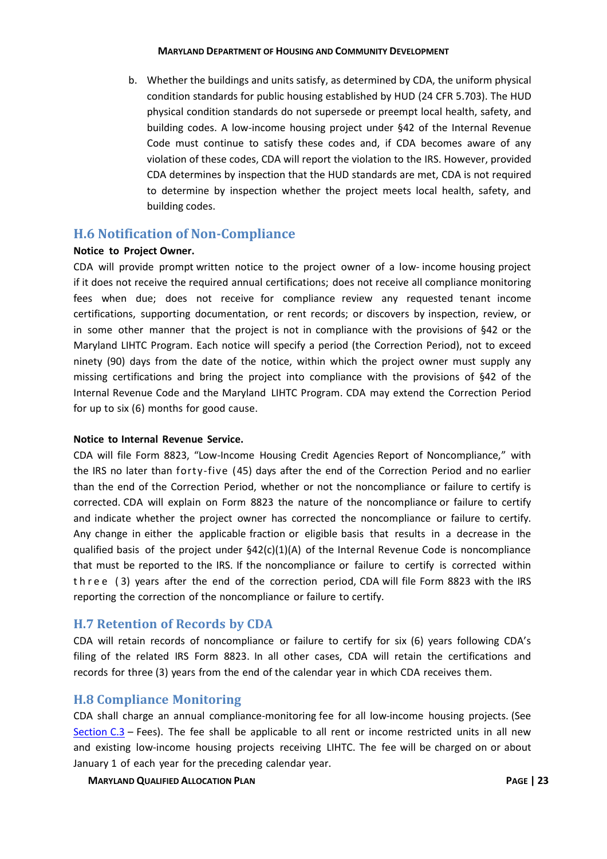b. Whether the buildings and units satisfy, as determined by CDA, the uniform physical condition standards for public housing established by HUD (24 CFR 5.703). The HUD physical condition standards do not supersede or preempt local health, safety, and building codes. A low-income housing project under §42 of the Internal Revenue Code must continue to satisfy these codes and, if CDA becomes aware of any violation of these codes, CDA will report the violation to the IRS. However, provided CDA determines by inspection that the HUD standards are met, CDA is not required to determine by inspection whether the project meets local health, safety, and building codes.

# <span id="page-25-0"></span>**H.6 Notification of Non-Compliance**

### **Notice to Project Owner.**

CDA will provide prompt written notice to the project owner of a low- income housing project if it does not receive the required annual certifications; does not receive all compliance monitoring fees when due; does not receive for compliance review any requested tenant income certifications, supporting documentation, or rent records; or discovers by inspection, review, or in some other manner that the project is not in compliance with the provisions of §42 or the Maryland LIHTC Program. Each notice will specify a period (the Correction Period), not to exceed ninety (90) days from the date of the notice, within which the project owner must supply any missing certifications and bring the project into compliance with the provisions of §42 of the Internal Revenue Code and the Maryland LIHTC Program. CDA may extend the Correction Period for up to six (6) months for good cause.

### **Notice to Internal Revenue Service.**

CDA will file Form 8823, "Low-Income Housing Credit Agencies Report of Noncompliance," with the IRS no later than forty-five (45) days after the end of the Correction Period and no earlier than the end of the Correction Period, whether or not the noncompliance or failure to certify is corrected. CDA will explain on Form 8823 the nature of the noncompliance or failure to certify and indicate whether the project owner has corrected the noncompliance or failure to certify. Any change in either the applicable fraction or eligible basis that results in a decrease in the qualified basis of the project under  $\S42(c)(1)(A)$  of the Internal Revenue Code is noncompliance that must be reported to the IRS. If the noncompliance or failure to certify is corrected within th ree (3) years after the end of the correction period, CDA will file Form 8823 with the IRS reporting the correction of the noncompliance or failure to certify.

# <span id="page-25-1"></span>**H.7 Retention of Records by CDA**

CDA will retain records of noncompliance or failure to certify for six (6) years following CDA's filing of the related IRS Form 8823. In all other cases, CDA will retain the certifications and records for three (3) years from the end of the calendar year in which CDA receives them.

# <span id="page-25-2"></span>**H.8 Compliance Monitoring**

CDA shall charge an annual compliance-monitoring fee for all low-income housing projects. (See Section  $C.3$  – Fees). The fee shall be applicable to all rent or income restricted units in all new and existing low-income housing projects receiving LIHTC. The fee will be charged on or about January 1 of each year for the preceding calendar year.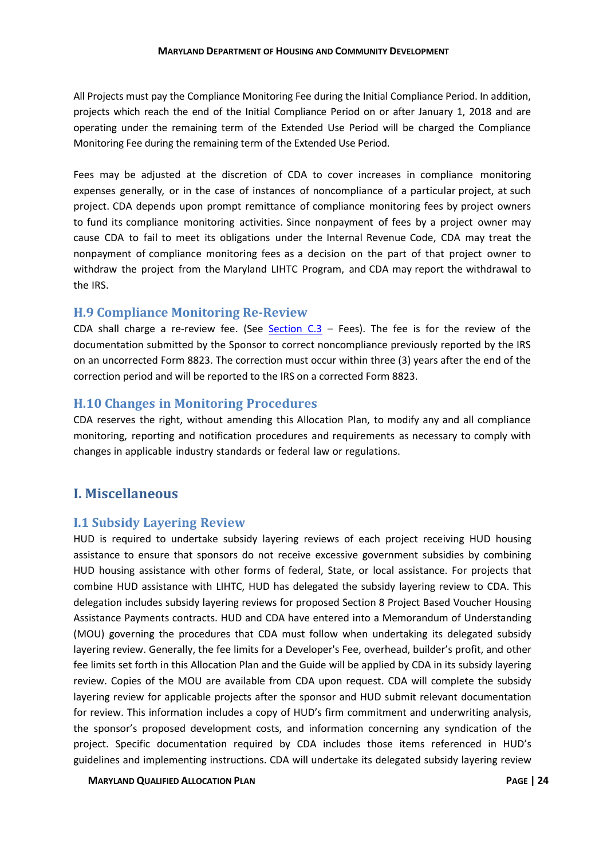All Projects must pay the Compliance Monitoring Fee during the Initial Compliance Period. In addition, projects which reach the end of the Initial Compliance Period on or after January 1, 2018 and are operating under the remaining term of the Extended Use Period will be charged the Compliance Monitoring Fee during the remaining term of the Extended Use Period.

Fees may be adjusted at the discretion of CDA to cover increases in compliance monitoring expenses generally, or in the case of instances of noncompliance of a particular project, at such project. CDA depends upon prompt remittance of compliance monitoring fees by project owners to fund its compliance monitoring activities. Since nonpayment of fees by a project owner may cause CDA to fail to meet its obligations under the Internal Revenue Code, CDA may treat the nonpayment of compliance monitoring fees as a decision on the part of that project owner to withdraw the project from the Maryland LIHTC Program, and CDA may report the withdrawal to the IRS.

# <span id="page-26-0"></span>**H.9 Compliance Monitoring Re-Review**

CDA shall charge a re-review fee. (See Section  $C.3$  – Fees). The fee is for the review of the documentation submitted by the Sponsor to correct noncompliance previously reported by the IRS on an uncorrected Form 8823. The correction must occur within three (3) years after the end of the correction period and will be reported to the IRS on a corrected Form 8823.

# <span id="page-26-1"></span>**H.10 Changes in Monitoring Procedures**

CDA reserves the right, without amending this Allocation Plan, to modify any and all compliance monitoring, reporting and notification procedures and requirements as necessary to comply with changes in applicable industry standards or federal law or regulations.

# <span id="page-26-2"></span>**I. Miscellaneous**

# <span id="page-26-3"></span>**I.1 Subsidy Layering Review**

HUD is required to undertake subsidy layering reviews of each project receiving HUD housing assistance to ensure that sponsors do not receive excessive government subsidies by combining HUD housing assistance with other forms of federal, State, or local assistance. For projects that combine HUD assistance with LIHTC, HUD has delegated the subsidy layering review to CDA. This delegation includes subsidy layering reviews for proposed Section 8 Project Based Voucher Housing Assistance Payments contracts. HUD and CDA have entered into a Memorandum of Understanding (MOU) governing the procedures that CDA must follow when undertaking its delegated subsidy layering review. Generally, the fee limits for a Developer's Fee, overhead, builder's profit, and other fee limits set forth in this Allocation Plan and the Guide will be applied by CDA in its subsidy layering review. Copies of the MOU are available from CDA upon request. CDA will complete the subsidy layering review for applicable projects after the sponsor and HUD submit relevant documentation for review. This information includes a copy of HUD's firm commitment and underwriting analysis, the sponsor's proposed development costs, and information concerning any syndication of the project. Specific documentation required by CDA includes those items referenced in HUD's guidelines and implementing instructions. CDA will undertake its delegated subsidy layering review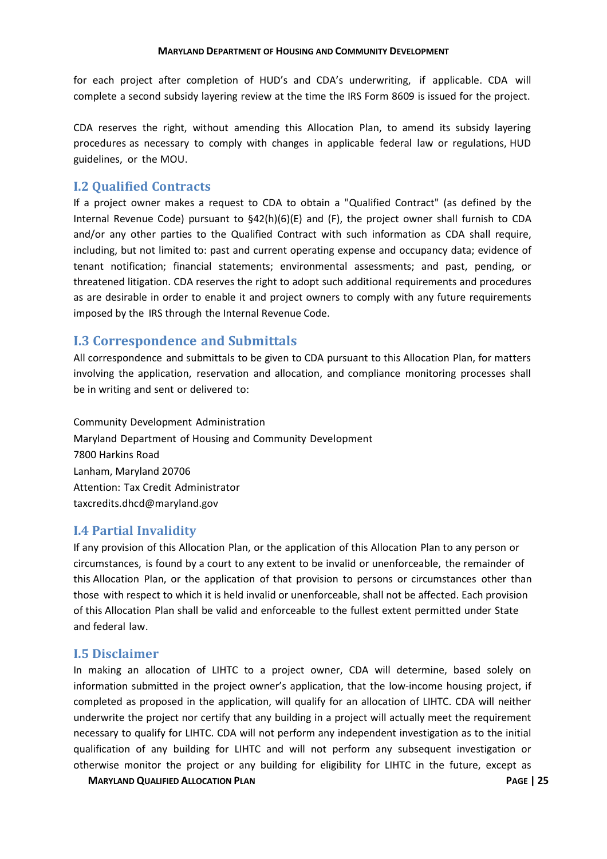for each project after completion of HUD's and CDA's underwriting, if applicable. CDA will complete a second subsidy layering review at the time the IRS Form 8609 is issued for the project.

CDA reserves the right, without amending this Allocation Plan, to amend its subsidy layering procedures as necessary to comply with changes in applicable federal law or regulations, HUD guidelines, or the MOU.

### <span id="page-27-0"></span>**I.2 Qualified Contracts**

If a project owner makes a request to CDA to obtain a "Qualified Contract" (as defined by the Internal Revenue Code) pursuant to §42(h)(6)(E) and (F), the project owner shall furnish to CDA and/or any other parties to the Qualified Contract with such information as CDA shall require, including, but not limited to: past and current operating expense and occupancy data; evidence of tenant notification; financial statements; environmental assessments; and past, pending, or threatened litigation. CDA reserves the right to adopt such additional requirements and procedures as are desirable in order to enable it and project owners to comply with any future requirements imposed by the IRS through the Internal Revenue Code.

# <span id="page-27-1"></span>**I.3 Correspondence and Submittals**

All correspondence and submittals to be given to CDA pursuant to this Allocation Plan, for matters involving the application, reservation and allocation, and compliance monitoring processes shall be in writing and sent or delivered to:

Community Development Administration Maryland Department of Housing and Community Development 7800 Harkins Road Lanham, Maryland 20706 Attention: Tax Credit Administrator taxcredits.dhcd@maryland.gov

### <span id="page-27-2"></span>**I.4 Partial Invalidity**

If any provision of this Allocation Plan, or the application of this Allocation Plan to any person or circumstances, is found by a court to any extent to be invalid or unenforceable, the remainder of this Allocation Plan, or the application of that provision to persons or circumstances other than those with respect to which it is held invalid or unenforceable, shall not be affected. Each provision of this Allocation Plan shall be valid and enforceable to the fullest extent permitted under State and federal law.

### <span id="page-27-3"></span>**I.5 Disclaimer**

In making an allocation of LIHTC to a project owner, CDA will determine, based solely on information submitted in the project owner's application, that the low-income housing project, if completed as proposed in the application, will qualify for an allocation of LIHTC. CDA will neither underwrite the project nor certify that any building in a project will actually meet the requirement necessary to qualify for LIHTC. CDA will not perform any independent investigation as to the initial qualification of any building for LIHTC and will not perform any subsequent investigation or otherwise monitor the project or any building for eligibility for LIHTC in the future, except as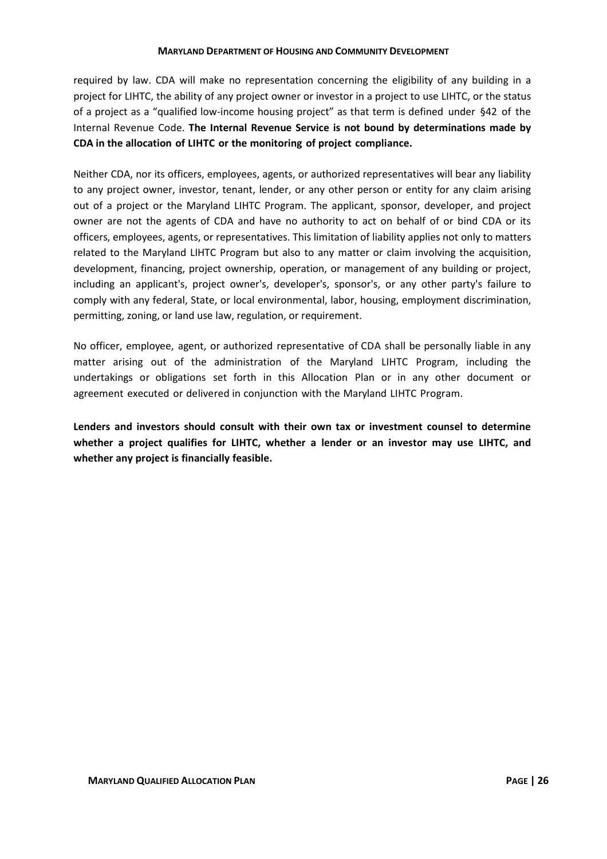required by law. CDA will make no representation concerning the eligibility of any building in a project for LIHTC, the ability of any project owner or investor in a project to use LIHTC, or the status of a project as a "qualified low-income housing project" as that term is defined under §42 of the Internal Revenue Code. **The Internal Revenue Service is not bound by determinations made by CDA in the allocation of LIHTC or the monitoring of project compliance.**

Neither CDA, nor its officers, employees, agents, or authorized representatives will bear any liability to any project owner, investor, tenant, lender, or any other person or entity for any claim arising out of a project or the Maryland LIHTC Program. The applicant, sponsor, developer, and project owner are not the agents of CDA and have no authority to act on behalf of or bind CDA or its officers, employees, agents, or representatives. This limitation of liability applies not only to matters related to the Maryland LIHTC Program but also to any matter or claim involving the acquisition, development, financing, project ownership, operation, or management of any building or project, including an applicant's, project owner's, developer's, sponsor's, or any other party's failure to comply with any federal, State, or local environmental, labor, housing, employment discrimination, permitting, zoning, or land use law, regulation, or requirement.

No officer, employee, agent, or authorized representative of CDA shall be personally liable in any matter arising out of the administration of the Maryland LIHTC Program, including the undertakings or obligations set forth in this Allocation Plan or in any other document or agreement executed or delivered in conjunction with the Maryland LIHTC Program.

**Lenders and investors should consult with their own tax or investment counsel to determine whether a project qualifies for LIHTC, whether a lender or an investor may use LIHTC, and whether any project is financially feasible.**